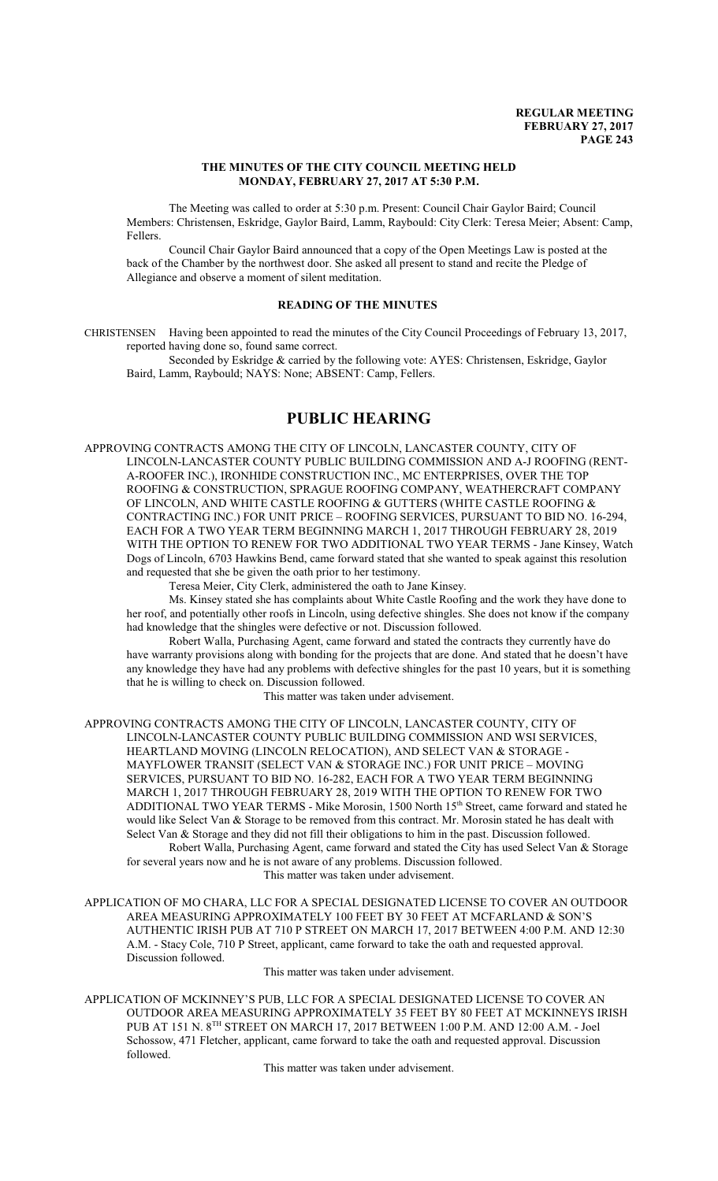### **THE MINUTES OF THE CITY COUNCIL MEETING HELD MONDAY, FEBRUARY 27, 2017 AT 5:30 P.M.**

The Meeting was called to order at 5:30 p.m. Present: Council Chair Gaylor Baird; Council Members: Christensen, Eskridge, Gaylor Baird, Lamm, Raybould: City Clerk: Teresa Meier; Absent: Camp, Fellers.

Council Chair Gaylor Baird announced that a copy of the Open Meetings Law is posted at the back of the Chamber by the northwest door. She asked all present to stand and recite the Pledge of Allegiance and observe a moment of silent meditation.

### **READING OF THE MINUTES**

CHRISTENSEN Having been appointed to read the minutes of the City Council Proceedings of February 13, 2017, reported having done so, found same correct.

Seconded by Eskridge & carried by the following vote: AYES: Christensen, Eskridge, Gaylor Baird, Lamm, Raybould; NAYS: None; ABSENT: Camp, Fellers.

# **PUBLIC HEARING**

APPROVING CONTRACTS AMONG THE CITY OF LINCOLN, LANCASTER COUNTY, CITY OF LINCOLN-LANCASTER COUNTY PUBLIC BUILDING COMMISSION AND A-J ROOFING (RENT-A-ROOFER INC.), IRONHIDE CONSTRUCTION INC., MC ENTERPRISES, OVER THE TOP ROOFING & CONSTRUCTION, SPRAGUE ROOFING COMPANY, WEATHERCRAFT COMPANY OF LINCOLN, AND WHITE CASTLE ROOFING & GUTTERS (WHITE CASTLE ROOFING & CONTRACTING INC.) FOR UNIT PRICE – ROOFING SERVICES, PURSUANT TO BID NO. 16-294, EACH FOR A TWO YEAR TERM BEGINNING MARCH 1, 2017 THROUGH FEBRUARY 28, 2019 WITH THE OPTION TO RENEW FOR TWO ADDITIONAL TWO YEAR TERMS - Jane Kinsey, Watch Dogs of Lincoln, 6703 Hawkins Bend, came forward stated that she wanted to speak against this resolution and requested that she be given the oath prior to her testimony.

Teresa Meier, City Clerk, administered the oath to Jane Kinsey.

Ms. Kinsey stated she has complaints about White Castle Roofing and the work they have done to her roof, and potentially other roofs in Lincoln, using defective shingles. She does not know if the company had knowledge that the shingles were defective or not. Discussion followed.

Robert Walla, Purchasing Agent, came forward and stated the contracts they currently have do have warranty provisions along with bonding for the projects that are done. And stated that he doesn't have any knowledge they have had any problems with defective shingles for the past 10 years, but it is something that he is willing to check on. Discussion followed.

This matter was taken under advisement.

APPROVING CONTRACTS AMONG THE CITY OF LINCOLN, LANCASTER COUNTY, CITY OF LINCOLN-LANCASTER COUNTY PUBLIC BUILDING COMMISSION AND WSI SERVICES, HEARTLAND MOVING (LINCOLN RELOCATION), AND SELECT VAN & STORAGE - MAYFLOWER TRANSIT (SELECT VAN & STORAGE INC.) FOR UNIT PRICE – MOVING SERVICES, PURSUANT TO BID NO. 16-282, EACH FOR A TWO YEAR TERM BEGINNING MARCH 1, 2017 THROUGH FEBRUARY 28, 2019 WITH THE OPTION TO RENEW FOR TWO ADDITIONAL TWO YEAR TERMS - Mike Morosin, 1500 North 15<sup>th</sup> Street, came forward and stated he would like Select Van & Storage to be removed from this contract. Mr. Morosin stated he has dealt with Select Van & Storage and they did not fill their obligations to him in the past. Discussion followed. Robert Walla, Purchasing Agent, came forward and stated the City has used Select Van & Storage for several years now and he is not aware of any problems. Discussion followed. This matter was taken under advisement.

APPLICATION OF MO CHARA, LLC FOR A SPECIAL DESIGNATED LICENSE TO COVER AN OUTDOOR AREA MEASURING APPROXIMATELY 100 FEET BY 30 FEET AT MCFARLAND & SON'S AUTHENTIC IRISH PUB AT 710 P STREET ON MARCH 17, 2017 BETWEEN 4:00 P.M. AND 12:30 A.M. - Stacy Cole, 710 P Street, applicant, came forward to take the oath and requested approval. Discussion followed.

This matter was taken under advisement.

APPLICATION OF MCKINNEY'S PUB, LLC FOR A SPECIAL DESIGNATED LICENSE TO COVER AN OUTDOOR AREA MEASURING APPROXIMATELY 35 FEET BY 80 FEET AT MCKINNEYS IRISH PUB AT 151 N. 8TH STREET ON MARCH 17, 2017 BETWEEN 1:00 P.M. AND 12:00 A.M. - Joel Schossow, 471 Fletcher, applicant, came forward to take the oath and requested approval. Discussion followed.

This matter was taken under advisement.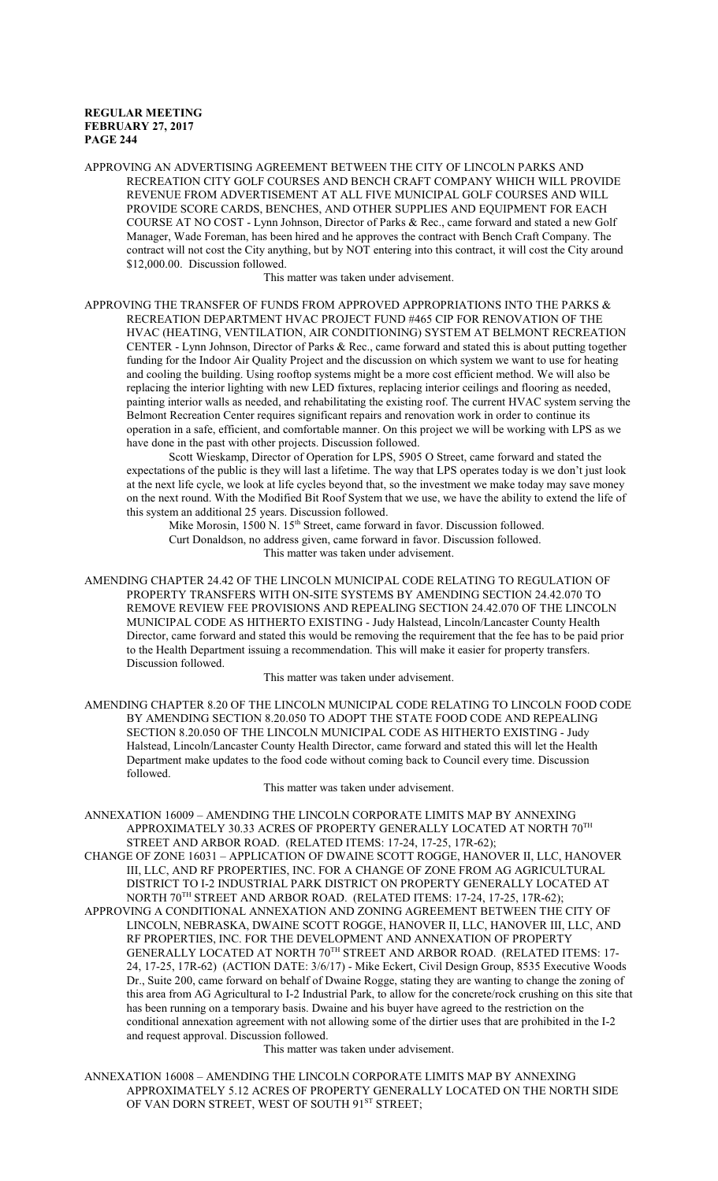APPROVING AN ADVERTISING AGREEMENT BETWEEN THE CITY OF LINCOLN PARKS AND RECREATION CITY GOLF COURSES AND BENCH CRAFT COMPANY WHICH WILL PROVIDE REVENUE FROM ADVERTISEMENT AT ALL FIVE MUNICIPAL GOLF COURSES AND WILL PROVIDE SCORE CARDS, BENCHES, AND OTHER SUPPLIES AND EQUIPMENT FOR EACH COURSE AT NO COST - Lynn Johnson, Director of Parks & Rec., came forward and stated a new Golf Manager, Wade Foreman, has been hired and he approves the contract with Bench Craft Company. The contract will not cost the City anything, but by NOT entering into this contract, it will cost the City around \$12,000.00. Discussion followed.

This matter was taken under advisement.

APPROVING THE TRANSFER OF FUNDS FROM APPROVED APPROPRIATIONS INTO THE PARKS & RECREATION DEPARTMENT HVAC PROJECT FUND #465 CIP FOR RENOVATION OF THE HVAC (HEATING, VENTILATION, AIR CONDITIONING) SYSTEM AT BELMONT RECREATION CENTER - Lynn Johnson, Director of Parks & Rec., came forward and stated this is about putting together funding for the Indoor Air Quality Project and the discussion on which system we want to use for heating and cooling the building. Using rooftop systems might be a more cost efficient method. We will also be replacing the interior lighting with new LED fixtures, replacing interior ceilings and flooring as needed, painting interior walls as needed, and rehabilitating the existing roof. The current HVAC system serving the Belmont Recreation Center requires significant repairs and renovation work in order to continue its operation in a safe, efficient, and comfortable manner. On this project we will be working with LPS as we have done in the past with other projects. Discussion followed.

Scott Wieskamp, Director of Operation for LPS, 5905 O Street, came forward and stated the expectations of the public is they will last a lifetime. The way that LPS operates today is we don't just look at the next life cycle, we look at life cycles beyond that, so the investment we make today may save money on the next round. With the Modified Bit Roof System that we use, we have the ability to extend the life of this system an additional 25 years. Discussion followed.

Mike Morosin, 1500 N. 15<sup>th</sup> Street, came forward in favor. Discussion followed. Curt Donaldson, no address given, came forward in favor. Discussion followed. This matter was taken under advisement.

AMENDING CHAPTER 24.42 OF THE LINCOLN MUNICIPAL CODE RELATING TO REGULATION OF PROPERTY TRANSFERS WITH ON-SITE SYSTEMS BY AMENDING SECTION 24.42.070 TO REMOVE REVIEW FEE PROVISIONS AND REPEALING SECTION 24.42.070 OF THE LINCOLN MUNICIPAL CODE AS HITHERTO EXISTING - Judy Halstead, Lincoln/Lancaster County Health Director, came forward and stated this would be removing the requirement that the fee has to be paid prior to the Health Department issuing a recommendation. This will make it easier for property transfers. Discussion followed.

This matter was taken under advisement.

AMENDING CHAPTER 8.20 OF THE LINCOLN MUNICIPAL CODE RELATING TO LINCOLN FOOD CODE BY AMENDING SECTION 8.20.050 TO ADOPT THE STATE FOOD CODE AND REPEALING SECTION 8.20.050 OF THE LINCOLN MUNICIPAL CODE AS HITHERTO EXISTING - Judy Halstead, Lincoln/Lancaster County Health Director, came forward and stated this will let the Health Department make updates to the food code without coming back to Council every time. Discussion followed.

This matter was taken under advisement.

ANNEXATION 16009 – AMENDING THE LINCOLN CORPORATE LIMITS MAP BY ANNEXING APPROXIMATELY 30.33 ACRES OF PROPERTY GENERALLY LOCATED AT NORTH  $70^{\mathrm{TH}}$ STREET AND ARBOR ROAD. (RELATED ITEMS: 17-24, 17-25, 17R-62);

CHANGE OF ZONE 16031 – APPLICATION OF DWAINE SCOTT ROGGE, HANOVER II, LLC, HANOVER III, LLC, AND RF PROPERTIES, INC. FOR A CHANGE OF ZONE FROM AG AGRICULTURAL DISTRICT TO I-2 INDUSTRIAL PARK DISTRICT ON PROPERTY GENERALLY LOCATED AT NORTH 70 TH STREET AND ARBOR ROAD. (RELATED ITEMS: 17-24, 17-25, 17R-62);

APPROVING A CONDITIONAL ANNEXATION AND ZONING AGREEMENT BETWEEN THE CITY OF LINCOLN, NEBRASKA, DWAINE SCOTT ROGGE, HANOVER II, LLC, HANOVER III, LLC, AND RF PROPERTIES, INC. FOR THE DEVELOPMENT AND ANNEXATION OF PROPERTY GENERALLY LOCATED AT NORTH  $70^{\text{\tiny{TH}}}$  STREET AND ARBOR ROAD. (RELATED ITEMS: 17-24, 17-25, 17R-62) (ACTION DATE: 3/6/17) - Mike Eckert, Civil Design Group, 8535 Executive Woods Dr., Suite 200, came forward on behalf of Dwaine Rogge, stating they are wanting to change the zoning of this area from AG Agricultural to I-2 Industrial Park, to allow for the concrete/rock crushing on this site that has been running on a temporary basis. Dwaine and his buyer have agreed to the restriction on the conditional annexation agreement with not allowing some of the dirtier uses that are prohibited in the I-2 and request approval. Discussion followed.

This matter was taken under advisement.

ANNEXATION 16008 – AMENDING THE LINCOLN CORPORATE LIMITS MAP BY ANNEXING APPROXIMATELY 5.12 ACRES OF PROPERTY GENERALLY LOCATED ON THE NORTH SIDE OF VAN DORN STREET, WEST OF SOUTH 91<sup>st</sup> STREET;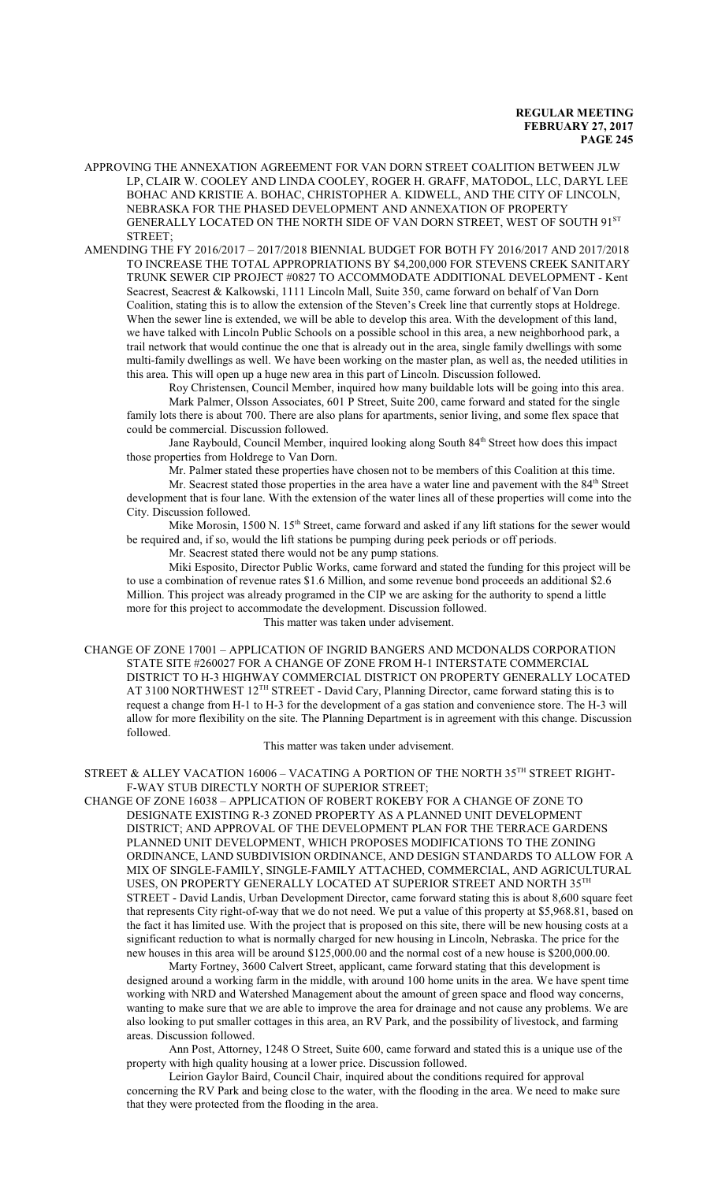APPROVING THE ANNEXATION AGREEMENT FOR VAN DORN STREET COALITION BETWEEN JLW LP, CLAIR W. COOLEY AND LINDA COOLEY, ROGER H. GRAFF, MATODOL, LLC, DARYL LEE BOHAC AND KRISTIE A. BOHAC, CHRISTOPHER A. KIDWELL, AND THE CITY OF LINCOLN, NEBRASKA FOR THE PHASED DEVELOPMENT AND ANNEXATION OF PROPERTY GENERALLY LOCATED ON THE NORTH SIDE OF VAN DORN STREET, WEST OF SOUTH 91<sup>st</sup> STREET;

AMENDING THE FY 2016/2017 – 2017/2018 BIENNIAL BUDGET FOR BOTH FY 2016/2017 AND 2017/2018 TO INCREASE THE TOTAL APPROPRIATIONS BY \$4,200,000 FOR STEVENS CREEK SANITARY TRUNK SEWER CIP PROJECT #0827 TO ACCOMMODATE ADDITIONAL DEVELOPMENT - Kent Seacrest, Seacrest & Kalkowski, 1111 Lincoln Mall, Suite 350, came forward on behalf of Van Dorn Coalition, stating this is to allow the extension of the Steven's Creek line that currently stops at Holdrege. When the sewer line is extended, we will be able to develop this area. With the development of this land, we have talked with Lincoln Public Schools on a possible school in this area, a new neighborhood park, a trail network that would continue the one that is already out in the area, single family dwellings with some multi-family dwellings as well. We have been working on the master plan, as well as, the needed utilities in this area. This will open up a huge new area in this part of Lincoln. Discussion followed.

Roy Christensen, Council Member, inquired how many buildable lots will be going into this area. Mark Palmer, Olsson Associates, 601 P Street, Suite 200, came forward and stated for the single family lots there is about 700. There are also plans for apartments, senior living, and some flex space that could be commercial. Discussion followed.

Jane Raybould, Council Member, inquired looking along South 84<sup>th</sup> Street how does this impact those properties from Holdrege to Van Dorn.

Mr. Palmer stated these properties have chosen not to be members of this Coalition at this time.

Mr. Seacrest stated those properties in the area have a water line and pavement with the 84<sup>th</sup> Street development that is four lane. With the extension of the water lines all of these properties will come into the City. Discussion followed.

Mike Morosin, 1500 N. 15<sup>th</sup> Street, came forward and asked if any lift stations for the sewer would be required and, if so, would the lift stations be pumping during peek periods or off periods.

Mr. Seacrest stated there would not be any pump stations.

Miki Esposito, Director Public Works, came forward and stated the funding for this project will be to use a combination of revenue rates \$1.6 Million, and some revenue bond proceeds an additional \$2.6 Million. This project was already programed in the CIP we are asking for the authority to spend a little more for this project to accommodate the development. Discussion followed. This matter was taken under advisement.

CHANGE OF ZONE 17001 – APPLICATION OF INGRID BANGERS AND MCDONALDS CORPORATION STATE SITE #260027 FOR A CHANGE OF ZONE FROM H-1 INTERSTATE COMMERCIAL DISTRICT TO H-3 HIGHWAY COMMERCIAL DISTRICT ON PROPERTY GENERALLY LOCATED AT 3100 NORTHWEST 12<sup>TH</sup> STREET - David Cary, Planning Director, came forward stating this is to request a change from H-1 to H-3 for the development of a gas station and convenience store. The H-3 will allow for more flexibility on the site. The Planning Department is in agreement with this change. Discussion followed.

This matter was taken under advisement.

STREET & ALLEY VACATION 16006 – VACATING A PORTION OF THE NORTH 35 $^{\text{\tiny{\textsf{TH}}}}$  STREET RIGHT-F-WAY STUB DIRECTLY NORTH OF SUPERIOR STREET;

CHANGE OF ZONE 16038 – APPLICATION OF ROBERT ROKEBY FOR A CHANGE OF ZONE TO DESIGNATE EXISTING R-3 ZONED PROPERTY AS A PLANNED UNIT DEVELOPMENT DISTRICT; AND APPROVAL OF THE DEVELOPMENT PLAN FOR THE TERRACE GARDENS PLANNED UNIT DEVELOPMENT, WHICH PROPOSES MODIFICATIONS TO THE ZONING ORDINANCE, LAND SUBDIVISION ORDINANCE, AND DESIGN STANDARDS TO ALLOW FOR A MIX OF SINGLE-FAMILY, SINGLE-FAMILY ATTACHED, COMMERCIAL, AND AGRICULTURAL USES, ON PROPERTY GENERALLY LOCATED AT SUPERIOR STREET AND NORTH 35 $^{\text{\tiny{\text{TH}}}}$ STREET - David Landis, Urban Development Director, came forward stating this is about 8,600 square feet that represents City right-of-way that we do not need. We put a value of this property at \$5,968.81, based on the fact it has limited use. With the project that is proposed on this site, there will be new housing costs at a significant reduction to what is normally charged for new housing in Lincoln, Nebraska. The price for the new houses in this area will be around \$125,000.00 and the normal cost of a new house is \$200,000.00.

Marty Fortney, 3600 Calvert Street, applicant, came forward stating that this development is designed around a working farm in the middle, with around 100 home units in the area. We have spent time working with NRD and Watershed Management about the amount of green space and flood way concerns, wanting to make sure that we are able to improve the area for drainage and not cause any problems. We are also looking to put smaller cottages in this area, an RV Park, and the possibility of livestock, and farming areas. Discussion followed.

Ann Post, Attorney, 1248 O Street, Suite 600, came forward and stated this is a unique use of the property with high quality housing at a lower price. Discussion followed.

Leirion Gaylor Baird, Council Chair, inquired about the conditions required for approval concerning the RV Park and being close to the water, with the flooding in the area. We need to make sure that they were protected from the flooding in the area.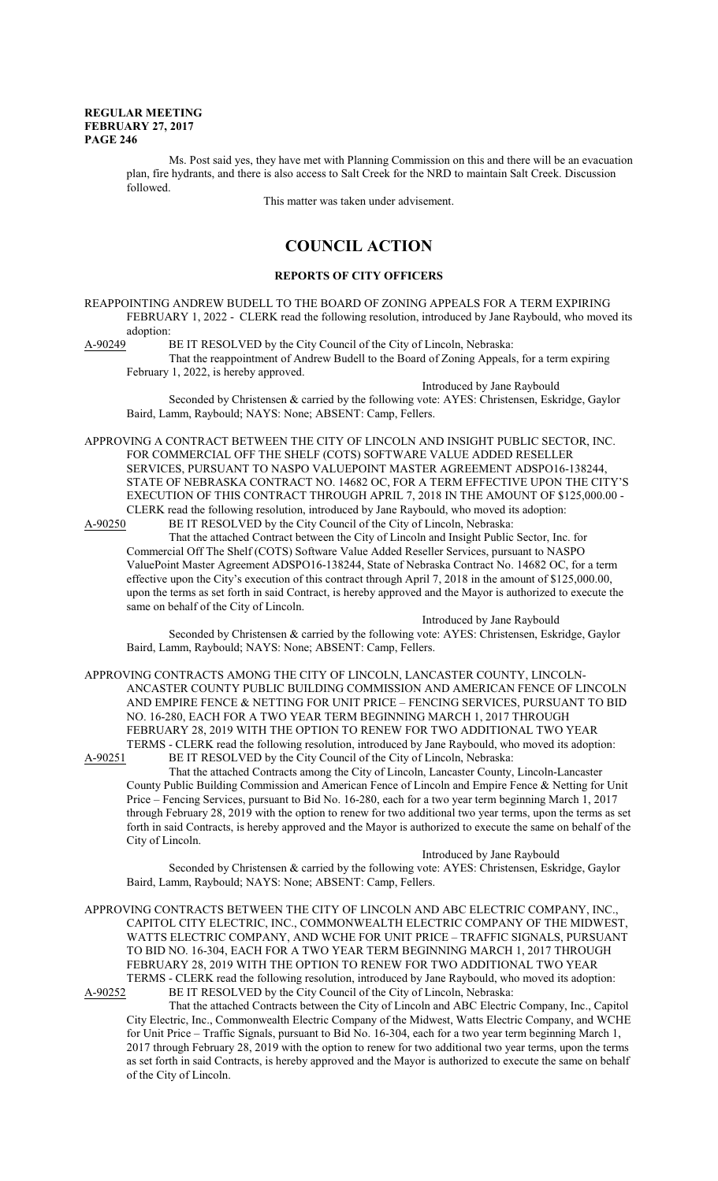Ms. Post said yes, they have met with Planning Commission on this and there will be an evacuation plan, fire hydrants, and there is also access to Salt Creek for the NRD to maintain Salt Creek. Discussion followed.

This matter was taken under advisement.

# **COUNCIL ACTION**

### **REPORTS OF CITY OFFICERS**

REAPPOINTING ANDREW BUDELL TO THE BOARD OF ZONING APPEALS FOR A TERM EXPIRING FEBRUARY 1, 2022 - CLERK read the following resolution, introduced by Jane Raybould, who moved its adoption:<br>A-90249

BE IT RESOLVED by the City Council of the City of Lincoln, Nebraska:

That the reappointment of Andrew Budell to the Board of Zoning Appeals, for a term expiring February 1, 2022, is hereby approved.

Introduced by Jane Raybould Seconded by Christensen & carried by the following vote: AYES: Christensen, Eskridge, Gaylor Baird, Lamm, Raybould; NAYS: None; ABSENT: Camp, Fellers.

APPROVING A CONTRACT BETWEEN THE CITY OF LINCOLN AND INSIGHT PUBLIC SECTOR, INC. FOR COMMERCIAL OFF THE SHELF (COTS) SOFTWARE VALUE ADDED RESELLER SERVICES, PURSUANT TO NASPO VALUEPOINT MASTER AGREEMENT ADSPO16-138244, STATE OF NEBRASKA CONTRACT NO. 14682 OC, FOR A TERM EFFECTIVE UPON THE CITY'S EXECUTION OF THIS CONTRACT THROUGH APRIL 7, 2018 IN THE AMOUNT OF \$125,000.00 - CLERK read the following resolution, introduced by Jane Raybould, who moved its adoption:

A-90250 BE IT RESOLVED by the City Council of the City of Lincoln, Nebraska:

That the attached Contract between the City of Lincoln and Insight Public Sector, Inc. for Commercial Off The Shelf (COTS) Software Value Added Reseller Services, pursuant to NASPO ValuePoint Master Agreement ADSPO16-138244, State of Nebraska Contract No. 14682 OC, for a term effective upon the City's execution of this contract through April 7, 2018 in the amount of \$125,000.00, upon the terms as set forth in said Contract, is hereby approved and the Mayor is authorized to execute the same on behalf of the City of Lincoln.

Introduced by Jane Raybould

Seconded by Christensen & carried by the following vote: AYES: Christensen, Eskridge, Gaylor Baird, Lamm, Raybould; NAYS: None; ABSENT: Camp, Fellers.

APPROVING CONTRACTS AMONG THE CITY OF LINCOLN, LANCASTER COUNTY, LINCOLN-ANCASTER COUNTY PUBLIC BUILDING COMMISSION AND AMERICAN FENCE OF LINCOLN AND EMPIRE FENCE & NETTING FOR UNIT PRICE – FENCING SERVICES, PURSUANT TO BID NO. 16-280, EACH FOR A TWO YEAR TERM BEGINNING MARCH 1, 2017 THROUGH FEBRUARY 28, 2019 WITH THE OPTION TO RENEW FOR TWO ADDITIONAL TWO YEAR TERMS - CLERK read the following resolution, introduced by Jane Raybould, who moved its adoption:<br>A-90251 BE IT RESOLVED by the City Council of the City of Lincoln, Nebraska:

BE IT RESOLVED by the City Council of the City of Lincoln, Nebraska: That the attached Contracts among the City of Lincoln, Lancaster County, Lincoln-Lancaster County Public Building Commission and American Fence of Lincoln and Empire Fence & Netting for Unit Price – Fencing Services, pursuant to Bid No. 16-280, each for a two year term beginning March 1, 2017 through February 28, 2019 with the option to renew for two additional two year terms, upon the terms as set forth in said Contracts, is hereby approved and the Mayor is authorized to execute the same on behalf of the City of Lincoln.

Introduced by Jane Raybould

Seconded by Christensen & carried by the following vote: AYES: Christensen, Eskridge, Gaylor Baird, Lamm, Raybould; NAYS: None; ABSENT: Camp, Fellers.

APPROVING CONTRACTS BETWEEN THE CITY OF LINCOLN AND ABC ELECTRIC COMPANY, INC., CAPITOL CITY ELECTRIC, INC., COMMONWEALTH ELECTRIC COMPANY OF THE MIDWEST, WATTS ELECTRIC COMPANY, AND WCHE FOR UNIT PRICE – TRAFFIC SIGNALS, PURSUANT TO BID NO. 16-304, EACH FOR A TWO YEAR TERM BEGINNING MARCH 1, 2017 THROUGH FEBRUARY 28, 2019 WITH THE OPTION TO RENEW FOR TWO ADDITIONAL TWO YEAR TERMS - CLERK read the following resolution, introduced by Jane Raybould, who moved its adoption:<br>A-90252 BE IT RESOLVED by the City Council of the City of Lincoln, Nebraska: BE IT RESOLVED by the City Council of the City of Lincoln, Nebraska:

That the attached Contracts between the City of Lincoln and ABC Electric Company, Inc., Capitol City Electric, Inc., Commonwealth Electric Company of the Midwest, Watts Electric Company, and WCHE for Unit Price – Traffic Signals, pursuant to Bid No. 16-304, each for a two year term beginning March 1, 2017 through February 28, 2019 with the option to renew for two additional two year terms, upon the terms as set forth in said Contracts, is hereby approved and the Mayor is authorized to execute the same on behalf of the City of Lincoln.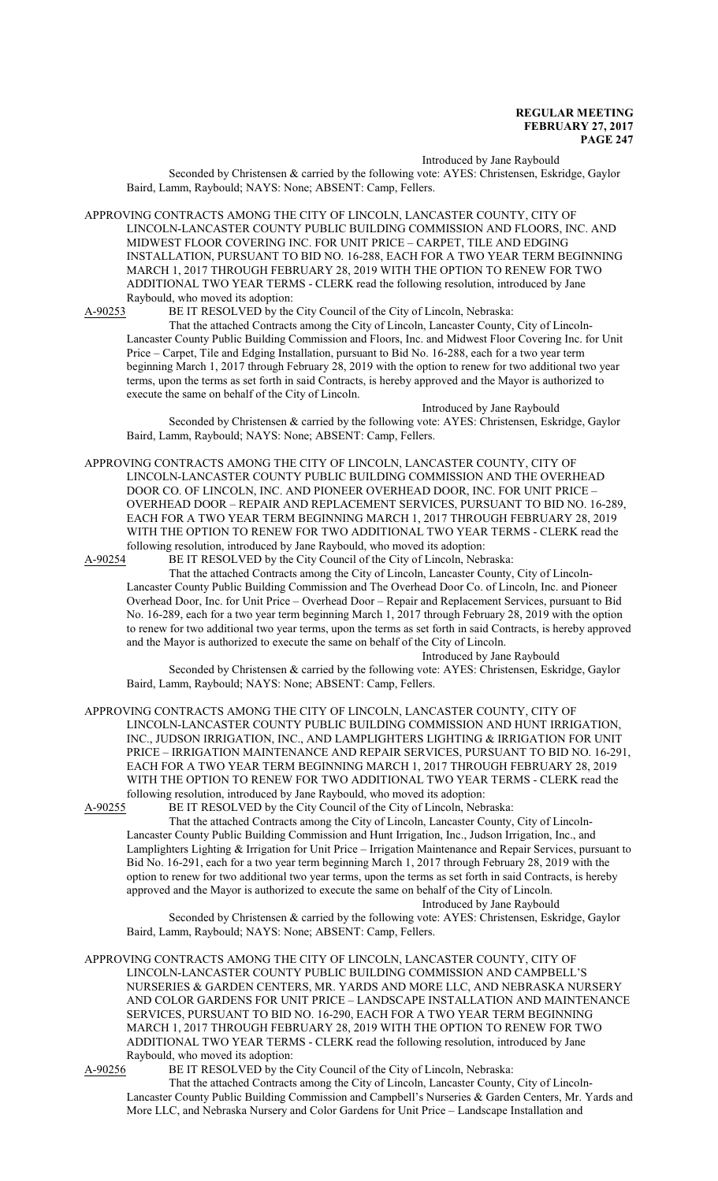Introduced by Jane Raybould

Seconded by Christensen & carried by the following vote: AYES: Christensen, Eskridge, Gaylor Baird, Lamm, Raybould; NAYS: None; ABSENT: Camp, Fellers.

APPROVING CONTRACTS AMONG THE CITY OF LINCOLN, LANCASTER COUNTY, CITY OF LINCOLN-LANCASTER COUNTY PUBLIC BUILDING COMMISSION AND FLOORS, INC. AND MIDWEST FLOOR COVERING INC. FOR UNIT PRICE – CARPET, TILE AND EDGING INSTALLATION, PURSUANT TO BID NO. 16-288, EACH FOR A TWO YEAR TERM BEGINNING MARCH 1, 2017 THROUGH FEBRUARY 28, 2019 WITH THE OPTION TO RENEW FOR TWO ADDITIONAL TWO YEAR TERMS - CLERK read the following resolution, introduced by Jane Raybould, who moved its adoption:

A-90253 BE IT RESOLVED by the City Council of the City of Lincoln, Nebraska:

That the attached Contracts among the City of Lincoln, Lancaster County, City of Lincoln-Lancaster County Public Building Commission and Floors, Inc. and Midwest Floor Covering Inc. for Unit Price – Carpet, Tile and Edging Installation, pursuant to Bid No. 16-288, each for a two year term beginning March 1, 2017 through February 28, 2019 with the option to renew for two additional two year terms, upon the terms as set forth in said Contracts, is hereby approved and the Mayor is authorized to execute the same on behalf of the City of Lincoln.

Introduced by Jane Raybould Seconded by Christensen & carried by the following vote: AYES: Christensen, Eskridge, Gaylor Baird, Lamm, Raybould; NAYS: None; ABSENT: Camp, Fellers.

APPROVING CONTRACTS AMONG THE CITY OF LINCOLN, LANCASTER COUNTY, CITY OF LINCOLN-LANCASTER COUNTY PUBLIC BUILDING COMMISSION AND THE OVERHEAD DOOR CO. OF LINCOLN, INC. AND PIONEER OVERHEAD DOOR, INC. FOR UNIT PRICE – OVERHEAD DOOR – REPAIR AND REPLACEMENT SERVICES, PURSUANT TO BID NO. 16-289, EACH FOR A TWO YEAR TERM BEGINNING MARCH 1, 2017 THROUGH FEBRUARY 28, 2019 WITH THE OPTION TO RENEW FOR TWO ADDITIONAL TWO YEAR TERMS - CLERK read the following resolution, introduced by Jane Raybould, who moved its adoption:<br>A-90254 BE IT RESOLVED by the City Council of the City of Lincoln. Neb

BE IT RESOLVED by the City Council of the City of Lincoln, Nebraska: That the attached Contracts among the City of Lincoln, Lancaster County, City of Lincoln-Lancaster County Public Building Commission and The Overhead Door Co. of Lincoln, Inc. and Pioneer Overhead Door, Inc. for Unit Price – Overhead Door – Repair and Replacement Services, pursuant to Bid No. 16-289, each for a two year term beginning March 1, 2017 through February 28, 2019 with the option to renew for two additional two year terms, upon the terms as set forth in said Contracts, is hereby approved and the Mayor is authorized to execute the same on behalf of the City of Lincoln.

Introduced by Jane Raybould

Seconded by Christensen & carried by the following vote: AYES: Christensen, Eskridge, Gaylor Baird, Lamm, Raybould; NAYS: None; ABSENT: Camp, Fellers.

APPROVING CONTRACTS AMONG THE CITY OF LINCOLN, LANCASTER COUNTY, CITY OF LINCOLN-LANCASTER COUNTY PUBLIC BUILDING COMMISSION AND HUNT IRRIGATION, INC., JUDSON IRRIGATION, INC., AND LAMPLIGHTERS LIGHTING & IRRIGATION FOR UNIT PRICE – IRRIGATION MAINTENANCE AND REPAIR SERVICES, PURSUANT TO BID NO. 16-291, EACH FOR A TWO YEAR TERM BEGINNING MARCH 1, 2017 THROUGH FEBRUARY 28, 2019 WITH THE OPTION TO RENEW FOR TWO ADDITIONAL TWO YEAR TERMS - CLERK read the following resolution, introduced by Jane Raybould, who moved its adoption:

A-90255 BE IT RESOLVED by the City Council of the City of Lincoln, Nebraska:

That the attached Contracts among the City of Lincoln, Lancaster County, City of Lincoln-Lancaster County Public Building Commission and Hunt Irrigation, Inc., Judson Irrigation, Inc., and Lamplighters Lighting & Irrigation for Unit Price – Irrigation Maintenance and Repair Services, pursuant to Bid No. 16-291, each for a two year term beginning March 1, 2017 through February 28, 2019 with the option to renew for two additional two year terms, upon the terms as set forth in said Contracts, is hereby approved and the Mayor is authorized to execute the same on behalf of the City of Lincoln. Introduced by Jane Raybould

Seconded by Christensen & carried by the following vote: AYES: Christensen, Eskridge, Gaylor Baird, Lamm, Raybould; NAYS: None; ABSENT: Camp, Fellers.

APPROVING CONTRACTS AMONG THE CITY OF LINCOLN, LANCASTER COUNTY, CITY OF LINCOLN-LANCASTER COUNTY PUBLIC BUILDING COMMISSION AND CAMPBELL'S NURSERIES & GARDEN CENTERS, MR. YARDS AND MORE LLC, AND NEBRASKA NURSERY AND COLOR GARDENS FOR UNIT PRICE – LANDSCAPE INSTALLATION AND MAINTENANCE SERVICES, PURSUANT TO BID NO. 16-290, EACH FOR A TWO YEAR TERM BEGINNING MARCH 1, 2017 THROUGH FEBRUARY 28, 2019 WITH THE OPTION TO RENEW FOR TWO ADDITIONAL TWO YEAR TERMS - CLERK read the following resolution, introduced by Jane Raybould, who moved its adoption:

A-90256 BE IT RESOLVED by the City Council of the City of Lincoln, Nebraska:

That the attached Contracts among the City of Lincoln, Lancaster County, City of Lincoln-Lancaster County Public Building Commission and Campbell's Nurseries & Garden Centers, Mr. Yards and More LLC, and Nebraska Nursery and Color Gardens for Unit Price – Landscape Installation and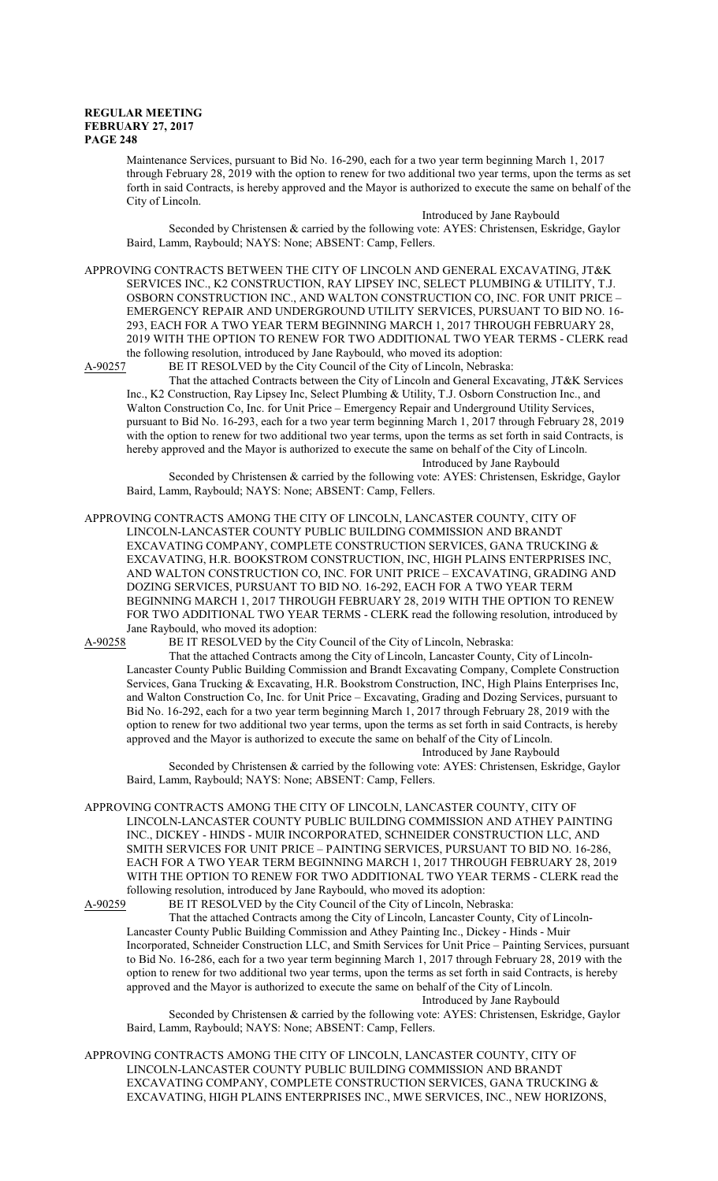Maintenance Services, pursuant to Bid No. 16-290, each for a two year term beginning March 1, 2017 through February 28, 2019 with the option to renew for two additional two year terms, upon the terms as set forth in said Contracts, is hereby approved and the Mayor is authorized to execute the same on behalf of the City of Lincoln.

Introduced by Jane Raybould

Seconded by Christensen & carried by the following vote: AYES: Christensen, Eskridge, Gaylor Baird, Lamm, Raybould; NAYS: None; ABSENT: Camp, Fellers.

APPROVING CONTRACTS BETWEEN THE CITY OF LINCOLN AND GENERAL EXCAVATING, JT&K SERVICES INC., K2 CONSTRUCTION, RAY LIPSEY INC, SELECT PLUMBING & UTILITY, T.J. OSBORN CONSTRUCTION INC., AND WALTON CONSTRUCTION CO, INC. FOR UNIT PRICE – EMERGENCY REPAIR AND UNDERGROUND UTILITY SERVICES, PURSUANT TO BID NO. 16- 293, EACH FOR A TWO YEAR TERM BEGINNING MARCH 1, 2017 THROUGH FEBRUARY 28, 2019 WITH THE OPTION TO RENEW FOR TWO ADDITIONAL TWO YEAR TERMS - CLERK read the following resolution, introduced by Jane Raybould, who moved its adoption:

A-90257 BE IT RESOLVED by the City Council of the City of Lincoln, Nebraska:

That the attached Contracts between the City of Lincoln and General Excavating, JT&K Services Inc., K2 Construction, Ray Lipsey Inc, Select Plumbing & Utility, T.J. Osborn Construction Inc., and Walton Construction Co, Inc. for Unit Price – Emergency Repair and Underground Utility Services, pursuant to Bid No. 16-293, each for a two year term beginning March 1, 2017 through February 28, 2019 with the option to renew for two additional two year terms, upon the terms as set forth in said Contracts, is hereby approved and the Mayor is authorized to execute the same on behalf of the City of Lincoln. Introduced by Jane Raybould

Seconded by Christensen & carried by the following vote: AYES: Christensen, Eskridge, Gaylor Baird, Lamm, Raybould; NAYS: None; ABSENT: Camp, Fellers.

APPROVING CONTRACTS AMONG THE CITY OF LINCOLN, LANCASTER COUNTY, CITY OF LINCOLN-LANCASTER COUNTY PUBLIC BUILDING COMMISSION AND BRANDT EXCAVATING COMPANY, COMPLETE CONSTRUCTION SERVICES, GANA TRUCKING & EXCAVATING, H.R. BOOKSTROM CONSTRUCTION, INC, HIGH PLAINS ENTERPRISES INC, AND WALTON CONSTRUCTION CO, INC. FOR UNIT PRICE – EXCAVATING, GRADING AND DOZING SERVICES, PURSUANT TO BID NO. 16-292, EACH FOR A TWO YEAR TERM BEGINNING MARCH 1, 2017 THROUGH FEBRUARY 28, 2019 WITH THE OPTION TO RENEW FOR TWO ADDITIONAL TWO YEAR TERMS - CLERK read the following resolution, introduced by Jane Raybould, who moved its adoption:<br>A-90258 BE IT RESOLVED by the City

BE IT RESOLVED by the City Council of the City of Lincoln, Nebraska:

That the attached Contracts among the City of Lincoln, Lancaster County, City of Lincoln-Lancaster County Public Building Commission and Brandt Excavating Company, Complete Construction Services, Gana Trucking & Excavating, H.R. Bookstrom Construction, INC, High Plains Enterprises Inc, and Walton Construction Co, Inc. for Unit Price – Excavating, Grading and Dozing Services, pursuant to Bid No. 16-292, each for a two year term beginning March 1, 2017 through February 28, 2019 with the option to renew for two additional two year terms, upon the terms as set forth in said Contracts, is hereby approved and the Mayor is authorized to execute the same on behalf of the City of Lincoln. Introduced by Jane Raybould

Seconded by Christensen & carried by the following vote: AYES: Christensen, Eskridge, Gaylor Baird, Lamm, Raybould; NAYS: None; ABSENT: Camp, Fellers.

APPROVING CONTRACTS AMONG THE CITY OF LINCOLN, LANCASTER COUNTY, CITY OF LINCOLN-LANCASTER COUNTY PUBLIC BUILDING COMMISSION AND ATHEY PAINTING INC., DICKEY - HINDS - MUIR INCORPORATED, SCHNEIDER CONSTRUCTION LLC, AND SMITH SERVICES FOR UNIT PRICE – PAINTING SERVICES, PURSUANT TO BID NO. 16-286, EACH FOR A TWO YEAR TERM BEGINNING MARCH 1, 2017 THROUGH FEBRUARY 28, 2019 WITH THE OPTION TO RENEW FOR TWO ADDITIONAL TWO YEAR TERMS - CLERK read the following resolution, introduced by Jane Raybould, who moved its adoption:<br>A-90259 BE IT RESOLVED by the City Council of the City of Lincoln, Neb

BE IT RESOLVED by the City Council of the City of Lincoln, Nebraska: That the attached Contracts among the City of Lincoln, Lancaster County, City of Lincoln-Lancaster County Public Building Commission and Athey Painting Inc., Dickey - Hinds - Muir Incorporated, Schneider Construction LLC, and Smith Services for Unit Price – Painting Services, pursuant to Bid No. 16-286, each for a two year term beginning March 1, 2017 through February 28, 2019 with the option to renew for two additional two year terms, upon the terms as set forth in said Contracts, is hereby approved and the Mayor is authorized to execute the same on behalf of the City of Lincoln. Introduced by Jane Raybould

Seconded by Christensen & carried by the following vote: AYES: Christensen, Eskridge, Gaylor Baird, Lamm, Raybould; NAYS: None; ABSENT: Camp, Fellers.

APPROVING CONTRACTS AMONG THE CITY OF LINCOLN, LANCASTER COUNTY, CITY OF LINCOLN-LANCASTER COUNTY PUBLIC BUILDING COMMISSION AND BRANDT EXCAVATING COMPANY, COMPLETE CONSTRUCTION SERVICES, GANA TRUCKING & EXCAVATING, HIGH PLAINS ENTERPRISES INC., MWE SERVICES, INC., NEW HORIZONS,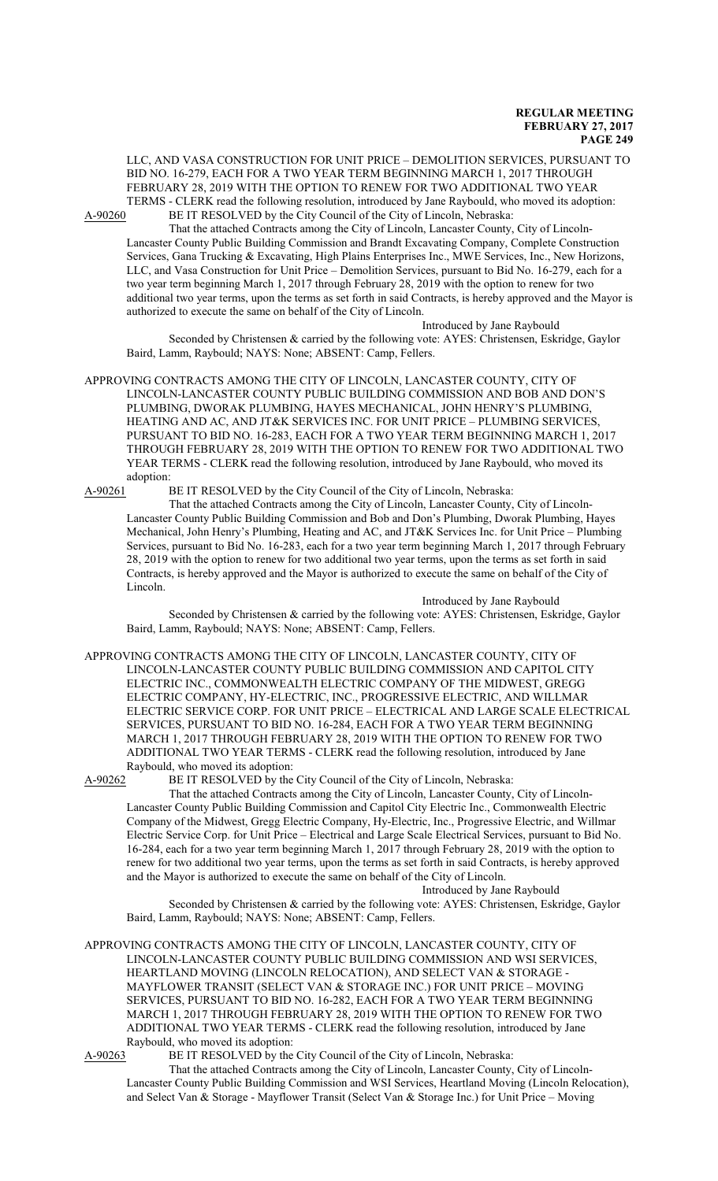LLC, AND VASA CONSTRUCTION FOR UNIT PRICE – DEMOLITION SERVICES, PURSUANT TO BID NO. 16-279, EACH FOR A TWO YEAR TERM BEGINNING MARCH 1, 2017 THROUGH FEBRUARY 28, 2019 WITH THE OPTION TO RENEW FOR TWO ADDITIONAL TWO YEAR TERMS - CLERK read the following resolution, introduced by Jane Raybould, who moved its adoption:<br>A-90260 BE IT RESOLVED by the City Council of the City of Lincoln, Nebraska: BE IT RESOLVED by the City Council of the City of Lincoln, Nebraska:

That the attached Contracts among the City of Lincoln, Lancaster County, City of Lincoln-Lancaster County Public Building Commission and Brandt Excavating Company, Complete Construction Services, Gana Trucking & Excavating, High Plains Enterprises Inc., MWE Services, Inc., New Horizons, LLC, and Vasa Construction for Unit Price – Demolition Services, pursuant to Bid No. 16-279, each for a two year term beginning March 1, 2017 through February 28, 2019 with the option to renew for two additional two year terms, upon the terms as set forth in said Contracts, is hereby approved and the Mayor is authorized to execute the same on behalf of the City of Lincoln.

Introduced by Jane Raybould

Seconded by Christensen & carried by the following vote: AYES: Christensen, Eskridge, Gaylor Baird, Lamm, Raybould; NAYS: None; ABSENT: Camp, Fellers.

APPROVING CONTRACTS AMONG THE CITY OF LINCOLN, LANCASTER COUNTY, CITY OF LINCOLN-LANCASTER COUNTY PUBLIC BUILDING COMMISSION AND BOB AND DON'S PLUMBING, DWORAK PLUMBING, HAYES MECHANICAL, JOHN HENRY'S PLUMBING, HEATING AND AC, AND JT&K SERVICES INC. FOR UNIT PRICE – PLUMBING SERVICES, PURSUANT TO BID NO. 16-283, EACH FOR A TWO YEAR TERM BEGINNING MARCH 1, 2017 THROUGH FEBRUARY 28, 2019 WITH THE OPTION TO RENEW FOR TWO ADDITIONAL TWO YEAR TERMS - CLERK read the following resolution, introduced by Jane Raybould, who moved its adoption:<br>A-90261 I

BE IT RESOLVED by the City Council of the City of Lincoln, Nebraska:

That the attached Contracts among the City of Lincoln, Lancaster County, City of Lincoln-Lancaster County Public Building Commission and Bob and Don's Plumbing, Dworak Plumbing, Hayes Mechanical, John Henry's Plumbing, Heating and AC, and JT&K Services Inc. for Unit Price – Plumbing Services, pursuant to Bid No. 16-283, each for a two year term beginning March 1, 2017 through February 28, 2019 with the option to renew for two additional two year terms, upon the terms as set forth in said Contracts, is hereby approved and the Mayor is authorized to execute the same on behalf of the City of Lincoln.

Introduced by Jane Raybould Seconded by Christensen & carried by the following vote: AYES: Christensen, Eskridge, Gaylor Baird, Lamm, Raybould; NAYS: None; ABSENT: Camp, Fellers.

APPROVING CONTRACTS AMONG THE CITY OF LINCOLN, LANCASTER COUNTY, CITY OF LINCOLN-LANCASTER COUNTY PUBLIC BUILDING COMMISSION AND CAPITOL CITY ELECTRIC INC., COMMONWEALTH ELECTRIC COMPANY OF THE MIDWEST, GREGG ELECTRIC COMPANY, HY-ELECTRIC, INC., PROGRESSIVE ELECTRIC, AND WILLMAR ELECTRIC SERVICE CORP. FOR UNIT PRICE – ELECTRICAL AND LARGE SCALE ELECTRICAL SERVICES, PURSUANT TO BID NO. 16-284, EACH FOR A TWO YEAR TERM BEGINNING MARCH 1, 2017 THROUGH FEBRUARY 28, 2019 WITH THE OPTION TO RENEW FOR TWO ADDITIONAL TWO YEAR TERMS - CLERK read the following resolution, introduced by Jane Raybould, who moved its adoption:<br>A-90262 BE IT RESOLVED by the

BE IT RESOLVED by the City Council of the City of Lincoln, Nebraska:

That the attached Contracts among the City of Lincoln, Lancaster County, City of Lincoln-Lancaster County Public Building Commission and Capitol City Electric Inc., Commonwealth Electric Company of the Midwest, Gregg Electric Company, Hy-Electric, Inc., Progressive Electric, and Willmar Electric Service Corp. for Unit Price – Electrical and Large Scale Electrical Services, pursuant to Bid No. 16-284, each for a two year term beginning March 1, 2017 through February 28, 2019 with the option to renew for two additional two year terms, upon the terms as set forth in said Contracts, is hereby approved and the Mayor is authorized to execute the same on behalf of the City of Lincoln.

Introduced by Jane Raybould

Seconded by Christensen & carried by the following vote: AYES: Christensen, Eskridge, Gaylor Baird, Lamm, Raybould; NAYS: None; ABSENT: Camp, Fellers.

APPROVING CONTRACTS AMONG THE CITY OF LINCOLN, LANCASTER COUNTY, CITY OF LINCOLN-LANCASTER COUNTY PUBLIC BUILDING COMMISSION AND WSI SERVICES, HEARTLAND MOVING (LINCOLN RELOCATION), AND SELECT VAN & STORAGE - MAYFLOWER TRANSIT (SELECT VAN & STORAGE INC.) FOR UNIT PRICE – MOVING SERVICES, PURSUANT TO BID NO. 16-282, EACH FOR A TWO YEAR TERM BEGINNING MARCH 1, 2017 THROUGH FEBRUARY 28, 2019 WITH THE OPTION TO RENEW FOR TWO ADDITIONAL TWO YEAR TERMS - CLERK read the following resolution, introduced by Jane Raybould, who moved its adoption:

A-90263 BE IT RESOLVED by the City Council of the City of Lincoln, Nebraska:

That the attached Contracts among the City of Lincoln, Lancaster County, City of Lincoln-Lancaster County Public Building Commission and WSI Services, Heartland Moving (Lincoln Relocation), and Select Van & Storage - Mayflower Transit (Select Van & Storage Inc.) for Unit Price – Moving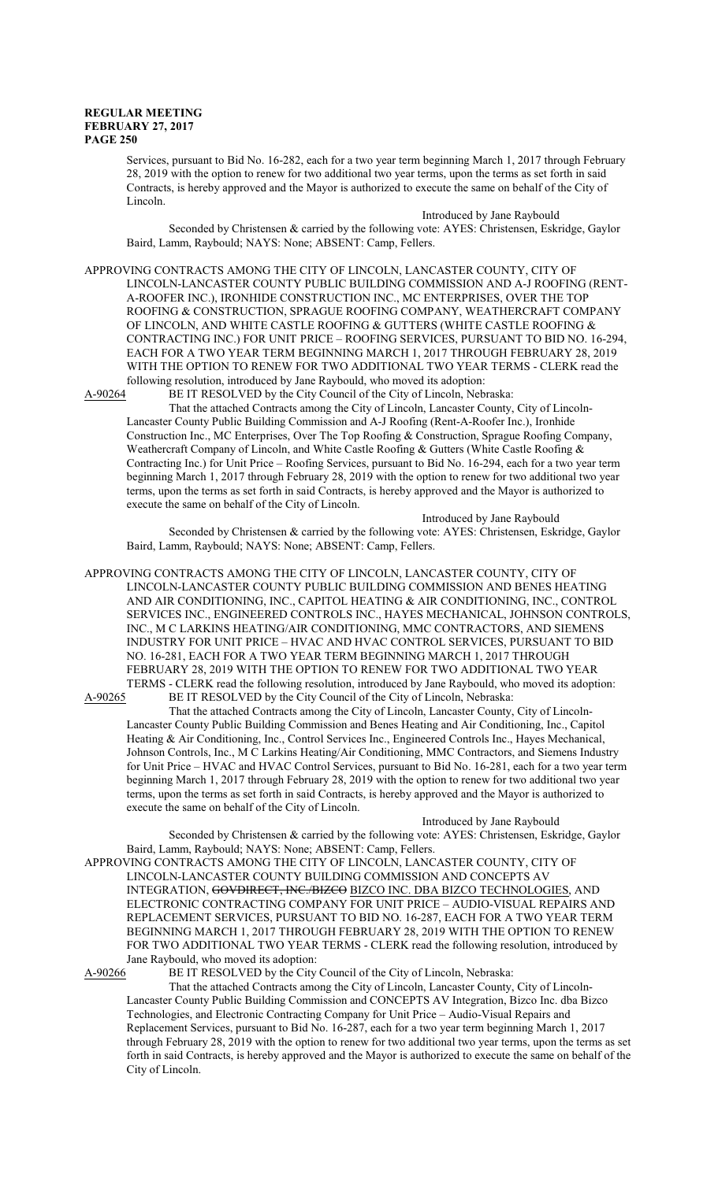Services, pursuant to Bid No. 16-282, each for a two year term beginning March 1, 2017 through February 28, 2019 with the option to renew for two additional two year terms, upon the terms as set forth in said Contracts, is hereby approved and the Mayor is authorized to execute the same on behalf of the City of Lincoln.

Introduced by Jane Raybould Seconded by Christensen & carried by the following vote: AYES: Christensen, Eskridge, Gaylor Baird, Lamm, Raybould; NAYS: None; ABSENT: Camp, Fellers.

APPROVING CONTRACTS AMONG THE CITY OF LINCOLN, LANCASTER COUNTY, CITY OF LINCOLN-LANCASTER COUNTY PUBLIC BUILDING COMMISSION AND A-J ROOFING (RENT-A-ROOFER INC.), IRONHIDE CONSTRUCTION INC., MC ENTERPRISES, OVER THE TOP ROOFING & CONSTRUCTION, SPRAGUE ROOFING COMPANY, WEATHERCRAFT COMPANY OF LINCOLN, AND WHITE CASTLE ROOFING & GUTTERS (WHITE CASTLE ROOFING & CONTRACTING INC.) FOR UNIT PRICE – ROOFING SERVICES, PURSUANT TO BID NO. 16-294, EACH FOR A TWO YEAR TERM BEGINNING MARCH 1, 2017 THROUGH FEBRUARY 28, 2019 WITH THE OPTION TO RENEW FOR TWO ADDITIONAL TWO YEAR TERMS - CLERK read the following resolution, introduced by Jane Raybould, who moved its adoption:

A-90264 BE IT RESOLVED by the City Council of the City of Lincoln, Nebraska:

That the attached Contracts among the City of Lincoln, Lancaster County, City of Lincoln-Lancaster County Public Building Commission and A-J Roofing (Rent-A-Roofer Inc.), Ironhide Construction Inc., MC Enterprises, Over The Top Roofing & Construction, Sprague Roofing Company, Weathercraft Company of Lincoln, and White Castle Roofing & Gutters (White Castle Roofing & Contracting Inc.) for Unit Price – Roofing Services, pursuant to Bid No. 16-294, each for a two year term beginning March 1, 2017 through February 28, 2019 with the option to renew for two additional two year terms, upon the terms as set forth in said Contracts, is hereby approved and the Mayor is authorized to execute the same on behalf of the City of Lincoln.

Introduced by Jane Raybould Seconded by Christensen & carried by the following vote: AYES: Christensen, Eskridge, Gaylor Baird, Lamm, Raybould; NAYS: None; ABSENT: Camp, Fellers.

APPROVING CONTRACTS AMONG THE CITY OF LINCOLN, LANCASTER COUNTY, CITY OF LINCOLN-LANCASTER COUNTY PUBLIC BUILDING COMMISSION AND BENES HEATING AND AIR CONDITIONING, INC., CAPITOL HEATING & AIR CONDITIONING, INC., CONTROL SERVICES INC., ENGINEERED CONTROLS INC., HAYES MECHANICAL, JOHNSON CONTROLS, INC., M C LARKINS HEATING/AIR CONDITIONING, MMC CONTRACTORS, AND SIEMENS INDUSTRY FOR UNIT PRICE – HVAC AND HVAC CONTROL SERVICES, PURSUANT TO BID NO. 16-281, EACH FOR A TWO YEAR TERM BEGINNING MARCH 1, 2017 THROUGH FEBRUARY 28, 2019 WITH THE OPTION TO RENEW FOR TWO ADDITIONAL TWO YEAR TERMS - CLERK read the following resolution, introduced by Jane Raybould, who moved its adoption: A-90265 BE IT RESOLVED by the City Council of the City of Lincoln, Nebraska:

That the attached Contracts among the City of Lincoln, Lancaster County, City of Lincoln-Lancaster County Public Building Commission and Benes Heating and Air Conditioning, Inc., Capitol Heating & Air Conditioning, Inc., Control Services Inc., Engineered Controls Inc., Hayes Mechanical, Johnson Controls, Inc., M C Larkins Heating/Air Conditioning, MMC Contractors, and Siemens Industry for Unit Price – HVAC and HVAC Control Services, pursuant to Bid No. 16-281, each for a two year term beginning March 1, 2017 through February 28, 2019 with the option to renew for two additional two year terms, upon the terms as set forth in said Contracts, is hereby approved and the Mayor is authorized to execute the same on behalf of the City of Lincoln.

Introduced by Jane Raybould

Seconded by Christensen & carried by the following vote: AYES: Christensen, Eskridge, Gaylor Baird, Lamm, Raybould; NAYS: None; ABSENT: Camp, Fellers.

APPROVING CONTRACTS AMONG THE CITY OF LINCOLN, LANCASTER COUNTY, CITY OF LINCOLN-LANCASTER COUNTY BUILDING COMMISSION AND CONCEPTS AV INTEGRATION, GOVDIRECT, INC./BIZCO BIZCO INC. DBA BIZCO TECHNOLOGIES, AND ELECTRONIC CONTRACTING COMPANY FOR UNIT PRICE – AUDIO-VISUAL REPAIRS AND REPLACEMENT SERVICES, PURSUANT TO BID NO. 16-287, EACH FOR A TWO YEAR TERM BEGINNING MARCH 1, 2017 THROUGH FEBRUARY 28, 2019 WITH THE OPTION TO RENEW FOR TWO ADDITIONAL TWO YEAR TERMS - CLERK read the following resolution, introduced by Jane Raybould, who moved its adoption:

A-90266 BE IT RESOLVED by the City Council of the City of Lincoln, Nebraska:

That the attached Contracts among the City of Lincoln, Lancaster County, City of Lincoln-Lancaster County Public Building Commission and CONCEPTS AV Integration, Bizco Inc. dba Bizco Technologies, and Electronic Contracting Company for Unit Price – Audio-Visual Repairs and Replacement Services, pursuant to Bid No. 16-287, each for a two year term beginning March 1, 2017 through February 28, 2019 with the option to renew for two additional two year terms, upon the terms as set forth in said Contracts, is hereby approved and the Mayor is authorized to execute the same on behalf of the City of Lincoln.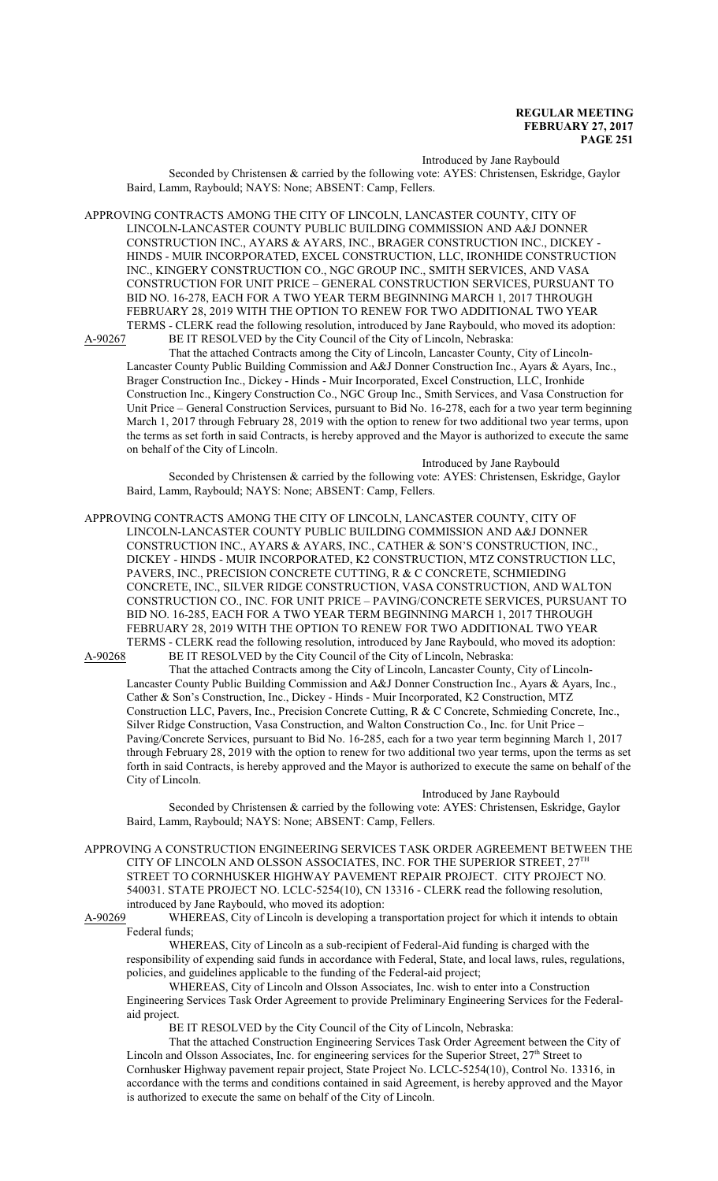Introduced by Jane Raybould

Seconded by Christensen & carried by the following vote: AYES: Christensen, Eskridge, Gaylor Baird, Lamm, Raybould; NAYS: None; ABSENT: Camp, Fellers.

APPROVING CONTRACTS AMONG THE CITY OF LINCOLN, LANCASTER COUNTY, CITY OF LINCOLN-LANCASTER COUNTY PUBLIC BUILDING COMMISSION AND A&J DONNER CONSTRUCTION INC., AYARS & AYARS, INC., BRAGER CONSTRUCTION INC., DICKEY - HINDS - MUIR INCORPORATED, EXCEL CONSTRUCTION, LLC, IRONHIDE CONSTRUCTION INC., KINGERY CONSTRUCTION CO., NGC GROUP INC., SMITH SERVICES, AND VASA CONSTRUCTION FOR UNIT PRICE – GENERAL CONSTRUCTION SERVICES, PURSUANT TO BID NO. 16-278, EACH FOR A TWO YEAR TERM BEGINNING MARCH 1, 2017 THROUGH FEBRUARY 28, 2019 WITH THE OPTION TO RENEW FOR TWO ADDITIONAL TWO YEAR

TERMS - CLERK read the following resolution, introduced by Jane Raybould, who moved its adoption:<br>A-90267 BE IT RESOLVED by the City Council of the City of Lincoln. Nebraska: BE IT RESOLVED by the City Council of the City of Lincoln, Nebraska:

That the attached Contracts among the City of Lincoln, Lancaster County, City of Lincoln-Lancaster County Public Building Commission and A&J Donner Construction Inc., Ayars & Ayars, Inc., Brager Construction Inc., Dickey - Hinds - Muir Incorporated, Excel Construction, LLC, Ironhide Construction Inc., Kingery Construction Co., NGC Group Inc., Smith Services, and Vasa Construction for Unit Price – General Construction Services, pursuant to Bid No. 16-278, each for a two year term beginning March 1, 2017 through February 28, 2019 with the option to renew for two additional two year terms, upon the terms as set forth in said Contracts, is hereby approved and the Mayor is authorized to execute the same on behalf of the City of Lincoln.

Introduced by Jane Raybould Seconded by Christensen & carried by the following vote: AYES: Christensen, Eskridge, Gaylor Baird, Lamm, Raybould; NAYS: None; ABSENT: Camp, Fellers.

APPROVING CONTRACTS AMONG THE CITY OF LINCOLN, LANCASTER COUNTY, CITY OF LINCOLN-LANCASTER COUNTY PUBLIC BUILDING COMMISSION AND A&J DONNER CONSTRUCTION INC., AYARS & AYARS, INC., CATHER & SON'S CONSTRUCTION, INC., DICKEY - HINDS - MUIR INCORPORATED, K2 CONSTRUCTION, MTZ CONSTRUCTION LLC, PAVERS, INC., PRECISION CONCRETE CUTTING, R & C CONCRETE, SCHMIEDING CONCRETE, INC., SILVER RIDGE CONSTRUCTION, VASA CONSTRUCTION, AND WALTON CONSTRUCTION CO., INC. FOR UNIT PRICE – PAVING/CONCRETE SERVICES, PURSUANT TO BID NO. 16-285, EACH FOR A TWO YEAR TERM BEGINNING MARCH 1, 2017 THROUGH FEBRUARY 28, 2019 WITH THE OPTION TO RENEW FOR TWO ADDITIONAL TWO YEAR TERMS - CLERK read the following resolution, introduced by Jane Raybould, who moved its adoption: A-90268 BE IT RESOLVED by the City Council of the City of Lincoln, Nebraska:

That the attached Contracts among the City of Lincoln, Lancaster County, City of Lincoln-Lancaster County Public Building Commission and A&J Donner Construction Inc., Ayars & Ayars, Inc., Cather & Son's Construction, Inc., Dickey - Hinds - Muir Incorporated, K2 Construction, MTZ Construction LLC, Pavers, Inc., Precision Concrete Cutting, R & C Concrete, Schmieding Concrete, Inc., Silver Ridge Construction, Vasa Construction, and Walton Construction Co., Inc. for Unit Price – Paving/Concrete Services, pursuant to Bid No. 16-285, each for a two year term beginning March 1, 2017 through February 28, 2019 with the option to renew for two additional two year terms, upon the terms as set forth in said Contracts, is hereby approved and the Mayor is authorized to execute the same on behalf of the City of Lincoln.

#### Introduced by Jane Raybould

Seconded by Christensen & carried by the following vote: AYES: Christensen, Eskridge, Gaylor Baird, Lamm, Raybould; NAYS: None; ABSENT: Camp, Fellers.

APPROVING A CONSTRUCTION ENGINEERING SERVICES TASK ORDER AGREEMENT BETWEEN THE CITY OF LINCOLN AND OLSSON ASSOCIATES, INC. FOR THE SUPERIOR STREET,  $27^{\rm TH}$ STREET TO CORNHUSKER HIGHWAY PAVEMENT REPAIR PROJECT. CITY PROJECT NO. 540031. STATE PROJECT NO. LCLC-5254(10), CN 13316 - CLERK read the following resolution, introduced by Jane Raybould, who moved its adoption:

A-90269 WHEREAS, City of Lincoln is developing a transportation project for which it intends to obtain Federal funds;

WHEREAS, City of Lincoln as a sub-recipient of Federal-Aid funding is charged with the responsibility of expending said funds in accordance with Federal, State, and local laws, rules, regulations, policies, and guidelines applicable to the funding of the Federal-aid project;

WHEREAS, City of Lincoln and Olsson Associates, Inc. wish to enter into a Construction Engineering Services Task Order Agreement to provide Preliminary Engineering Services for the Federalaid project.

BE IT RESOLVED by the City Council of the City of Lincoln, Nebraska:

That the attached Construction Engineering Services Task Order Agreement between the City of Lincoln and Olsson Associates, Inc. for engineering services for the Superior Street, 27<sup>th</sup> Street to Cornhusker Highway pavement repair project, State Project No. LCLC-5254(10), Control No. 13316, in accordance with the terms and conditions contained in said Agreement, is hereby approved and the Mayor is authorized to execute the same on behalf of the City of Lincoln.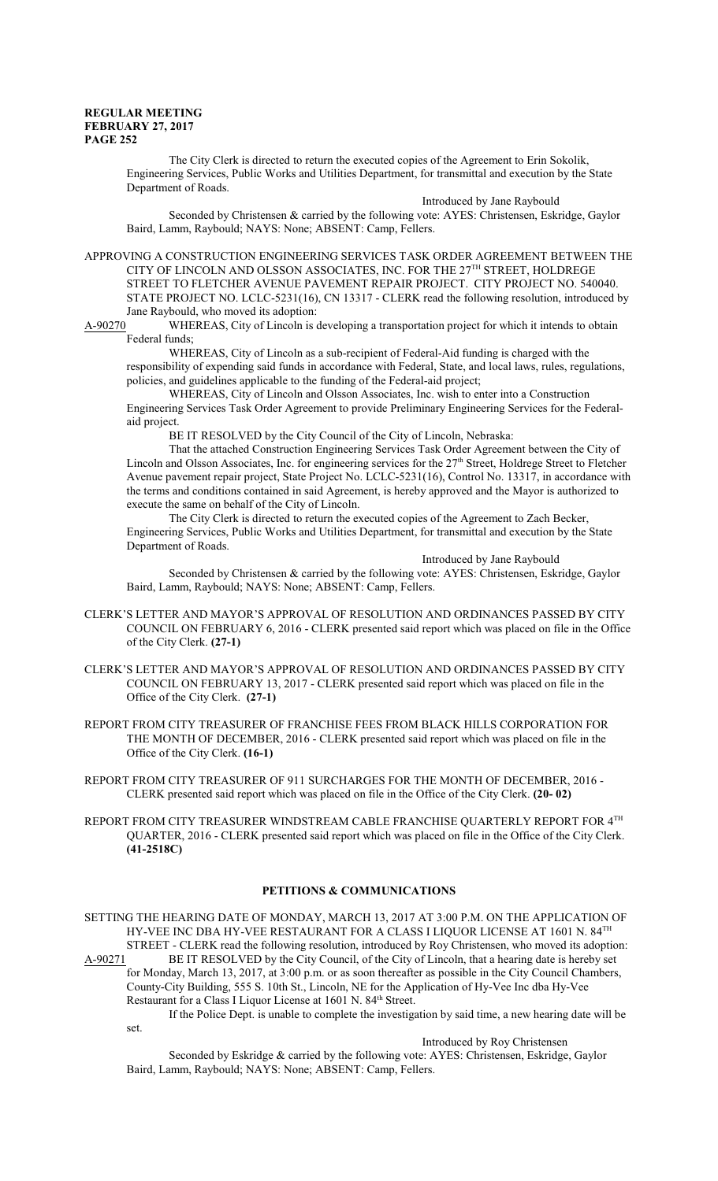The City Clerk is directed to return the executed copies of the Agreement to Erin Sokolik, Engineering Services, Public Works and Utilities Department, for transmittal and execution by the State Department of Roads.

Introduced by Jane Raybould Seconded by Christensen & carried by the following vote: AYES: Christensen, Eskridge, Gaylor Baird, Lamm, Raybould; NAYS: None; ABSENT: Camp, Fellers.

APPROVING A CONSTRUCTION ENGINEERING SERVICES TASK ORDER AGREEMENT BETWEEN THE CITY OF LINCOLN AND OLSSON ASSOCIATES, INC. FOR THE  $27^{\text{TH}}$  STREET, HOLDREGE STREET TO FLETCHER AVENUE PAVEMENT REPAIR PROJECT. CITY PROJECT NO. 540040. STATE PROJECT NO. LCLC-5231(16), CN 13317 - CLERK read the following resolution, introduced by Jane Raybould, who moved its adoption:

A-90270 WHEREAS, City of Lincoln is developing a transportation project for which it intends to obtain Federal funds;

WHEREAS, City of Lincoln as a sub-recipient of Federal-Aid funding is charged with the responsibility of expending said funds in accordance with Federal, State, and local laws, rules, regulations, policies, and guidelines applicable to the funding of the Federal-aid project;

WHEREAS, City of Lincoln and Olsson Associates, Inc. wish to enter into a Construction Engineering Services Task Order Agreement to provide Preliminary Engineering Services for the Federalaid project.

BE IT RESOLVED by the City Council of the City of Lincoln, Nebraska:

That the attached Construction Engineering Services Task Order Agreement between the City of Lincoln and Olsson Associates, Inc. for engineering services for the 27<sup>th</sup> Street, Holdrege Street to Fletcher Avenue pavement repair project, State Project No. LCLC-5231(16), Control No. 13317, in accordance with the terms and conditions contained in said Agreement, is hereby approved and the Mayor is authorized to execute the same on behalf of the City of Lincoln.

The City Clerk is directed to return the executed copies of the Agreement to Zach Becker, Engineering Services, Public Works and Utilities Department, for transmittal and execution by the State Department of Roads.

Introduced by Jane Raybould

Seconded by Christensen & carried by the following vote: AYES: Christensen, Eskridge, Gaylor Baird, Lamm, Raybould; NAYS: None; ABSENT: Camp, Fellers.

- CLERK'S LETTER AND MAYOR'S APPROVAL OF RESOLUTION AND ORDINANCES PASSED BY CITY COUNCIL ON FEBRUARY 6, 2016 - CLERK presented said report which was placed on file in the Office of the City Clerk. **(27-1)**
- CLERK'S LETTER AND MAYOR'S APPROVAL OF RESOLUTION AND ORDINANCES PASSED BY CITY COUNCIL ON FEBRUARY 13, 2017 - CLERK presented said report which was placed on file in the Office of the City Clerk. **(27-1)**
- REPORT FROM CITY TREASURER OF FRANCHISE FEES FROM BLACK HILLS CORPORATION FOR THE MONTH OF DECEMBER, 2016 - CLERK presented said report which was placed on file in the Office of the City Clerk. **(16-1)**
- REPORT FROM CITY TREASURER OF 911 SURCHARGES FOR THE MONTH OF DECEMBER, 2016 CLERK presented said report which was placed on file in the Office of the City Clerk. **(20- 02)**
- REPORT FROM CITY TREASURER WINDSTREAM CABLE FRANCHISE QUARTERLY REPORT FOR 4TH QUARTER, 2016 - CLERK presented said report which was placed on file in the Office of the City Clerk. **(41-2518C)**

## **PETITIONS & COMMUNICATIONS**

SETTING THE HEARING DATE OF MONDAY, MARCH 13, 2017 AT 3:00 P.M. ON THE APPLICATION OF HY-VEE INC DBA HY-VEE RESTAURANT FOR A CLASS I LIQUOR LICENSE AT 1601 N.  $84^{\mathrm{TH}}$ STREET - CLERK read the following resolution, introduced by Roy Christensen, who moved its adoption: A-90271 BE IT RESOLVED by the City Council, of the City of Lincoln, that a hearing date is hereby set for Monday, March 13, 2017, at 3:00 p.m. or as soon thereafter as possible in the City Council Chambers,

County-City Building, 555 S. 10th St., Lincoln, NE for the Application of Hy-Vee Inc dba Hy-Vee Restaurant for a Class I Liquor License at 1601 N. 84<sup>th</sup> Street.

If the Police Dept. is unable to complete the investigation by said time, a new hearing date will be set.

Introduced by Roy Christensen

Seconded by Eskridge & carried by the following vote: AYES: Christensen, Eskridge, Gaylor Baird, Lamm, Raybould; NAYS: None; ABSENT: Camp, Fellers.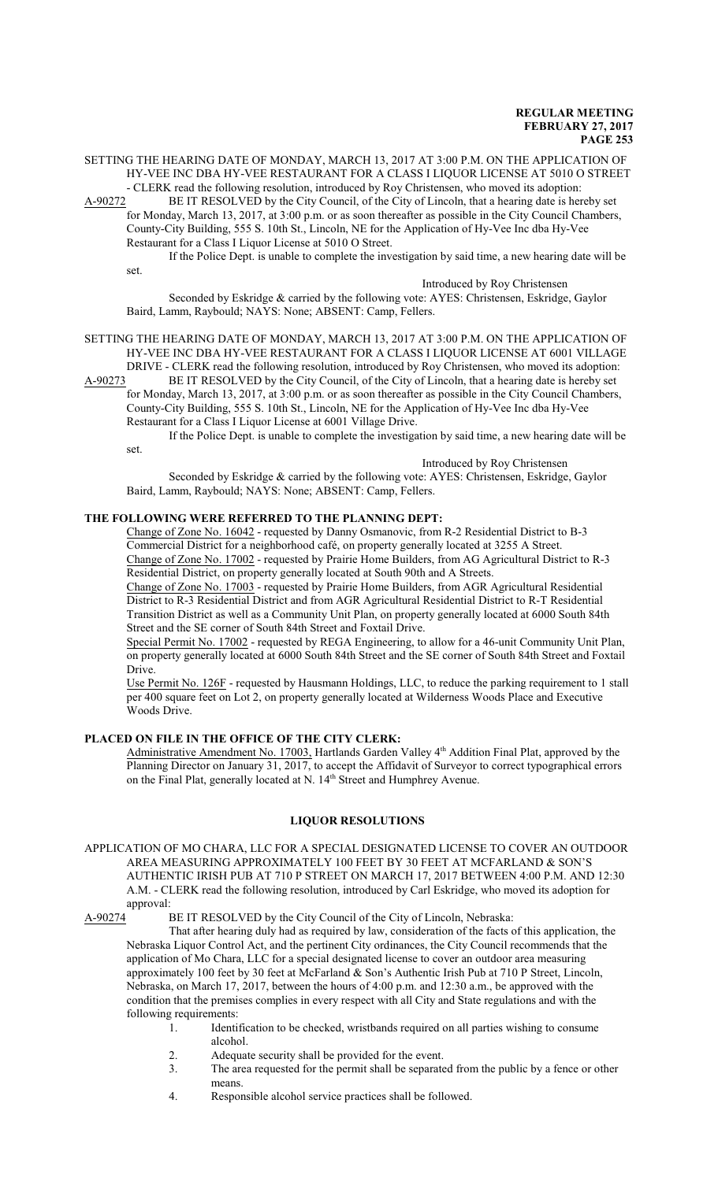SETTING THE HEARING DATE OF MONDAY, MARCH 13, 2017 AT 3:00 P.M. ON THE APPLICATION OF HY-VEE INC DBA HY-VEE RESTAURANT FOR A CLASS I LIQUOR LICENSE AT 5010 O STREET - CLERK read the following resolution, introduced by Roy Christensen, who moved its adoption:

A-90272 BE IT RESOLVED by the City Council, of the City of Lincoln, that a hearing date is hereby set

for Monday, March 13, 2017, at 3:00 p.m. or as soon thereafter as possible in the City Council Chambers, County-City Building, 555 S. 10th St., Lincoln, NE for the Application of Hy-Vee Inc dba Hy-Vee Restaurant for a Class I Liquor License at 5010 O Street.

If the Police Dept. is unable to complete the investigation by said time, a new hearing date will be set.

Introduced by Roy Christensen

Seconded by Eskridge & carried by the following vote: AYES: Christensen, Eskridge, Gaylor Baird, Lamm, Raybould; NAYS: None; ABSENT: Camp, Fellers.

SETTING THE HEARING DATE OF MONDAY, MARCH 13, 2017 AT 3:00 P.M. ON THE APPLICATION OF HY-VEE INC DBA HY-VEE RESTAURANT FOR A CLASS I LIQUOR LICENSE AT 6001 VILLAGE DRIVE - CLERK read the following resolution, introduced by Roy Christensen, who moved its adoption:

A-90273 BE IT RESOLVED by the City Council, of the City of Lincoln, that a hearing date is hereby set for Monday, March 13, 2017, at 3:00 p.m. or as soon thereafter as possible in the City Council Chambers, County-City Building, 555 S. 10th St., Lincoln, NE for the Application of Hy-Vee Inc dba Hy-Vee Restaurant for a Class I Liquor License at 6001 Village Drive.

If the Police Dept. is unable to complete the investigation by said time, a new hearing date will be set.

Introduced by Roy Christensen

Seconded by Eskridge & carried by the following vote: AYES: Christensen, Eskridge, Gaylor Baird, Lamm, Raybould; NAYS: None; ABSENT: Camp, Fellers.

### **THE FOLLOWING WERE REFERRED TO THE PLANNING DEPT:**

Change of Zone No. 16042 - requested by Danny Osmanovic, from R-2 Residential District to B-3 Commercial District for a neighborhood café, on property generally located at 3255 A Street. Change of Zone No. 17002 - requested by Prairie Home Builders, from AG Agricultural District to R-3 Residential District, on property generally located at South 90th and A Streets.

Change of Zone No. 17003 - requested by Prairie Home Builders, from AGR Agricultural Residential District to R-3 Residential District and from AGR Agricultural Residential District to R-T Residential Transition District as well as a Community Unit Plan, on property generally located at 6000 South 84th Street and the SE corner of South 84th Street and Foxtail Drive.

Special Permit No. 17002 - requested by REGA Engineering, to allow for a 46-unit Community Unit Plan, on property generally located at 6000 South 84th Street and the SE corner of South 84th Street and Foxtail Drive.

Use Permit No. 126F - requested by Hausmann Holdings, LLC, to reduce the parking requirement to 1 stall per 400 square feet on Lot 2, on property generally located at Wilderness Woods Place and Executive Woods Drive.

### **PLACED ON FILE IN THE OFFICE OF THE CITY CLERK:**

Administrative Amendment No. 17003, Hartlands Garden Valley 4<sup>th</sup> Addition Final Plat, approved by the Planning Director on January 31, 2017, to accept the Affidavit of Surveyor to correct typographical errors on the Final Plat, generally located at N. 14<sup>th</sup> Street and Humphrey Avenue.

### **LIQUOR RESOLUTIONS**

APPLICATION OF MO CHARA, LLC FOR A SPECIAL DESIGNATED LICENSE TO COVER AN OUTDOOR AREA MEASURING APPROXIMATELY 100 FEET BY 30 FEET AT MCFARLAND & SON'S AUTHENTIC IRISH PUB AT 710 P STREET ON MARCH 17, 2017 BETWEEN 4:00 P.M. AND 12:30 A.M. - CLERK read the following resolution, introduced by Carl Eskridge, who moved its adoption for approval:

A-90274 BE IT RESOLVED by the City Council of the City of Lincoln, Nebraska:

That after hearing duly had as required by law, consideration of the facts of this application, the Nebraska Liquor Control Act, and the pertinent City ordinances, the City Council recommends that the application of Mo Chara, LLC for a special designated license to cover an outdoor area measuring approximately 100 feet by 30 feet at McFarland & Son's Authentic Irish Pub at 710 P Street, Lincoln, Nebraska, on March 17, 2017, between the hours of 4:00 p.m. and 12:30 a.m., be approved with the condition that the premises complies in every respect with all City and State regulations and with the following requirements:

- 1. Identification to be checked, wristbands required on all parties wishing to consume alcohol.
- 2. Adequate security shall be provided for the event.
- 3. The area requested for the permit shall be separated from the public by a fence or other means.
- 4. Responsible alcohol service practices shall be followed.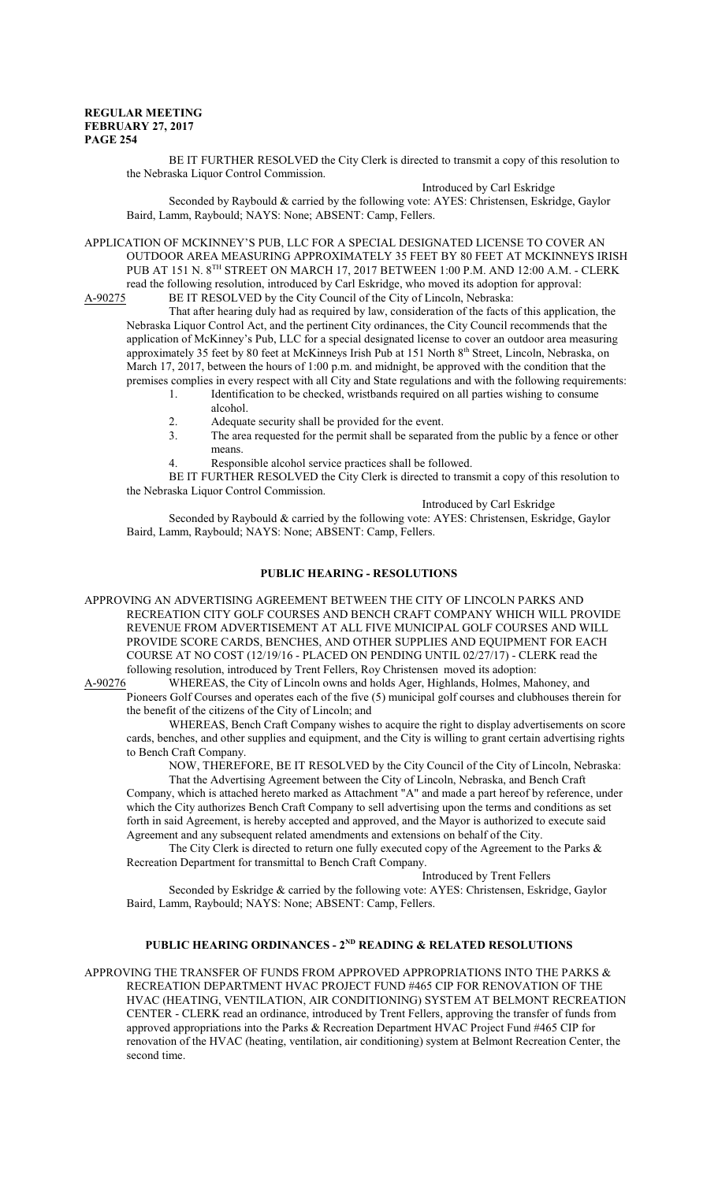BE IT FURTHER RESOLVED the City Clerk is directed to transmit a copy of this resolution to the Nebraska Liquor Control Commission.

Introduced by Carl Eskridge Seconded by Raybould & carried by the following vote: AYES: Christensen, Eskridge, Gaylor Baird, Lamm, Raybould; NAYS: None; ABSENT: Camp, Fellers.

APPLICATION OF MCKINNEY'S PUB, LLC FOR A SPECIAL DESIGNATED LICENSE TO COVER AN OUTDOOR AREA MEASURING APPROXIMATELY 35 FEET BY 80 FEET AT MCKINNEYS IRISH PUB AT 151 N. 8TH STREET ON MARCH 17, 2017 BETWEEN 1:00 P.M. AND 12:00 A.M. - CLERK read the following resolution, introduced by Carl Eskridge, who moved its adoption for approval:

A-90275 BE IT RESOLVED by the City Council of the City of Lincoln, Nebraska: That after hearing duly had as required by law, consideration of the facts of this application, the

Nebraska Liquor Control Act, and the pertinent City ordinances, the City Council recommends that the application of McKinney's Pub, LLC for a special designated license to cover an outdoor area measuring approximately 35 feet by 80 feet at McKinneys Irish Pub at 151 North 8th Street, Lincoln, Nebraska, on March 17, 2017, between the hours of 1:00 p.m. and midnight, be approved with the condition that the premises complies in every respect with all City and State regulations and with the following requirements:

- 1. Identification to be checked, wristbands required on all parties wishing to consume alcohol.
- 2. Adequate security shall be provided for the event.<br>3. The area requested for the permit shall be separate
- The area requested for the permit shall be separated from the public by a fence or other means.
- 4. Responsible alcohol service practices shall be followed.

BE IT FURTHER RESOLVED the City Clerk is directed to transmit a copy of this resolution to the Nebraska Liquor Control Commission.

Introduced by Carl Eskridge

Seconded by Raybould & carried by the following vote: AYES: Christensen, Eskridge, Gaylor Baird, Lamm, Raybould; NAYS: None; ABSENT: Camp, Fellers.

### **PUBLIC HEARING - RESOLUTIONS**

APPROVING AN ADVERTISING AGREEMENT BETWEEN THE CITY OF LINCOLN PARKS AND RECREATION CITY GOLF COURSES AND BENCH CRAFT COMPANY WHICH WILL PROVIDE REVENUE FROM ADVERTISEMENT AT ALL FIVE MUNICIPAL GOLF COURSES AND WILL PROVIDE SCORE CARDS, BENCHES, AND OTHER SUPPLIES AND EQUIPMENT FOR EACH COURSE AT NO COST (12/19/16 - PLACED ON PENDING UNTIL 02/27/17) - CLERK read the following resolution, introduced by Trent Fellers, Roy Christensen moved its adoption:

A-90276 WHEREAS, the City of Lincoln owns and holds Ager, Highlands, Holmes, Mahoney, and Pioneers Golf Courses and operates each of the five (5) municipal golf courses and clubhouses therein for the benefit of the citizens of the City of Lincoln; and

WHEREAS, Bench Craft Company wishes to acquire the right to display advertisements on score cards, benches, and other supplies and equipment, and the City is willing to grant certain advertising rights to Bench Craft Company.

NOW, THEREFORE, BE IT RESOLVED by the City Council of the City of Lincoln, Nebraska: That the Advertising Agreement between the City of Lincoln, Nebraska, and Bench Craft

Company, which is attached hereto marked as Attachment "A" and made a part hereof by reference, under which the City authorizes Bench Craft Company to sell advertising upon the terms and conditions as set forth in said Agreement, is hereby accepted and approved, and the Mayor is authorized to execute said Agreement and any subsequent related amendments and extensions on behalf of the City.

The City Clerk is directed to return one fully executed copy of the Agreement to the Parks & Recreation Department for transmittal to Bench Craft Company.

Introduced by Trent Fellers

Seconded by Eskridge & carried by the following vote: AYES: Christensen, Eskridge, Gaylor Baird, Lamm, Raybould; NAYS: None; ABSENT: Camp, Fellers.

### **PUBLIC HEARING ORDINANCES - 2ND READING & RELATED RESOLUTIONS**

APPROVING THE TRANSFER OF FUNDS FROM APPROVED APPROPRIATIONS INTO THE PARKS & RECREATION DEPARTMENT HVAC PROJECT FUND #465 CIP FOR RENOVATION OF THE HVAC (HEATING, VENTILATION, AIR CONDITIONING) SYSTEM AT BELMONT RECREATION CENTER - CLERK read an ordinance, introduced by Trent Fellers, approving the transfer of funds from approved appropriations into the Parks & Recreation Department HVAC Project Fund #465 CIP for renovation of the HVAC (heating, ventilation, air conditioning) system at Belmont Recreation Center, the second time.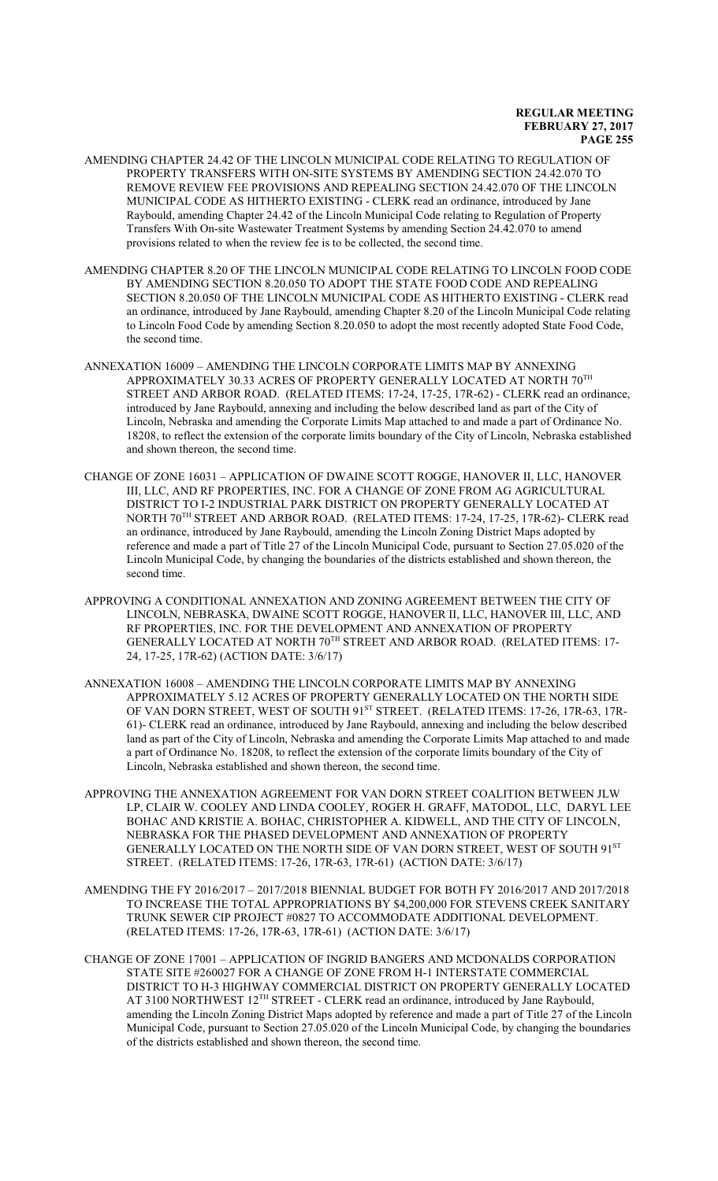- AMENDING CHAPTER 24.42 OF THE LINCOLN MUNICIPAL CODE RELATING TO REGULATION OF PROPERTY TRANSFERS WITH ON-SITE SYSTEMS BY AMENDING SECTION 24.42.070 TO REMOVE REVIEW FEE PROVISIONS AND REPEALING SECTION 24.42.070 OF THE LINCOLN MUNICIPAL CODE AS HITHERTO EXISTING - CLERK read an ordinance, introduced by Jane Raybould, amending Chapter 24.42 of the Lincoln Municipal Code relating to Regulation of Property Transfers With On-site Wastewater Treatment Systems by amending Section 24.42.070 to amend provisions related to when the review fee is to be collected, the second time.
- AMENDING CHAPTER 8.20 OF THE LINCOLN MUNICIPAL CODE RELATING TO LINCOLN FOOD CODE BY AMENDING SECTION 8.20.050 TO ADOPT THE STATE FOOD CODE AND REPEALING SECTION 8.20.050 OF THE LINCOLN MUNICIPAL CODE AS HITHERTO EXISTING - CLERK read an ordinance, introduced by Jane Raybould, amending Chapter 8.20 of the Lincoln Municipal Code relating to Lincoln Food Code by amending Section 8.20.050 to adopt the most recently adopted State Food Code, the second time.
- ANNEXATION 16009 AMENDING THE LINCOLN CORPORATE LIMITS MAP BY ANNEXING APPROXIMATELY 30.33 ACRES OF PROPERTY GENERALLY LOCATED AT NORTH  $70^{\mathrm{TH}}$ STREET AND ARBOR ROAD. (RELATED ITEMS: 17-24, 17-25, 17R-62) - CLERK read an ordinance, introduced by Jane Raybould, annexing and including the below described land as part of the City of Lincoln, Nebraska and amending the Corporate Limits Map attached to and made a part of Ordinance No. 18208, to reflect the extension of the corporate limits boundary of the City of Lincoln, Nebraska established and shown thereon, the second time.
- CHANGE OF ZONE 16031 APPLICATION OF DWAINE SCOTT ROGGE, HANOVER II, LLC, HANOVER III, LLC, AND RF PROPERTIES, INC. FOR A CHANGE OF ZONE FROM AG AGRICULTURAL DISTRICT TO I-2 INDUSTRIAL PARK DISTRICT ON PROPERTY GENERALLY LOCATED AT NORTH 70 TH STREET AND ARBOR ROAD. (RELATED ITEMS: 17-24, 17-25, 17R-62)- CLERK read an ordinance, introduced by Jane Raybould, amending the Lincoln Zoning District Maps adopted by reference and made a part of Title 27 of the Lincoln Municipal Code, pursuant to Section 27.05.020 of the Lincoln Municipal Code, by changing the boundaries of the districts established and shown thereon, the second time.
- APPROVING A CONDITIONAL ANNEXATION AND ZONING AGREEMENT BETWEEN THE CITY OF LINCOLN, NEBRASKA, DWAINE SCOTT ROGGE, HANOVER II, LLC, HANOVER III, LLC, AND RF PROPERTIES, INC. FOR THE DEVELOPMENT AND ANNEXATION OF PROPERTY GENERALLY LOCATED AT NORTH  $70^{\text{\tiny{TH}}}$  STREET AND ARBOR ROAD. (RELATED ITEMS: 17-24, 17-25, 17R-62) (ACTION DATE: 3/6/17)
- ANNEXATION 16008 AMENDING THE LINCOLN CORPORATE LIMITS MAP BY ANNEXING APPROXIMATELY 5.12 ACRES OF PROPERTY GENERALLY LOCATED ON THE NORTH SIDE OF VAN DORN STREET, WEST OF SOUTH 91<sup>st</sup> STREET. (RELATED ITEMS: 17-26, 17R-63, 17R-61)- CLERK read an ordinance, introduced by Jane Raybould, annexing and including the below described land as part of the City of Lincoln, Nebraska and amending the Corporate Limits Map attached to and made a part of Ordinance No. 18208, to reflect the extension of the corporate limits boundary of the City of Lincoln, Nebraska established and shown thereon, the second time.
- APPROVING THE ANNEXATION AGREEMENT FOR VAN DORN STREET COALITION BETWEEN JLW LP, CLAIR W. COOLEY AND LINDA COOLEY, ROGER H. GRAFF, MATODOL, LLC, DARYL LEE BOHAC AND KRISTIE A. BOHAC, CHRISTOPHER A. KIDWELL, AND THE CITY OF LINCOLN, NEBRASKA FOR THE PHASED DEVELOPMENT AND ANNEXATION OF PROPERTY GENERALLY LOCATED ON THE NORTH SIDE OF VAN DORN STREET, WEST OF SOUTH  $91^{\mathrm{ST}}$ STREET. (RELATED ITEMS: 17-26, 17R-63, 17R-61) (ACTION DATE: 3/6/17)
- AMENDING THE FY 2016/2017 2017/2018 BIENNIAL BUDGET FOR BOTH FY 2016/2017 AND 2017/2018 TO INCREASE THE TOTAL APPROPRIATIONS BY \$4,200,000 FOR STEVENS CREEK SANITARY TRUNK SEWER CIP PROJECT #0827 TO ACCOMMODATE ADDITIONAL DEVELOPMENT. (RELATED ITEMS: 17-26, 17R-63, 17R-61) (ACTION DATE: 3/6/17)
- CHANGE OF ZONE 17001 APPLICATION OF INGRID BANGERS AND MCDONALDS CORPORATION STATE SITE #260027 FOR A CHANGE OF ZONE FROM H-1 INTERSTATE COMMERCIAL DISTRICT TO H-3 HIGHWAY COMMERCIAL DISTRICT ON PROPERTY GENERALLY LOCATED AT 3100 NORTHWEST 12<sup>TH</sup> STREET - CLERK read an ordinance, introduced by Jane Raybould, amending the Lincoln Zoning District Maps adopted by reference and made a part of Title 27 of the Lincoln Municipal Code, pursuant to Section 27.05.020 of the Lincoln Municipal Code, by changing the boundaries of the districts established and shown thereon, the second time.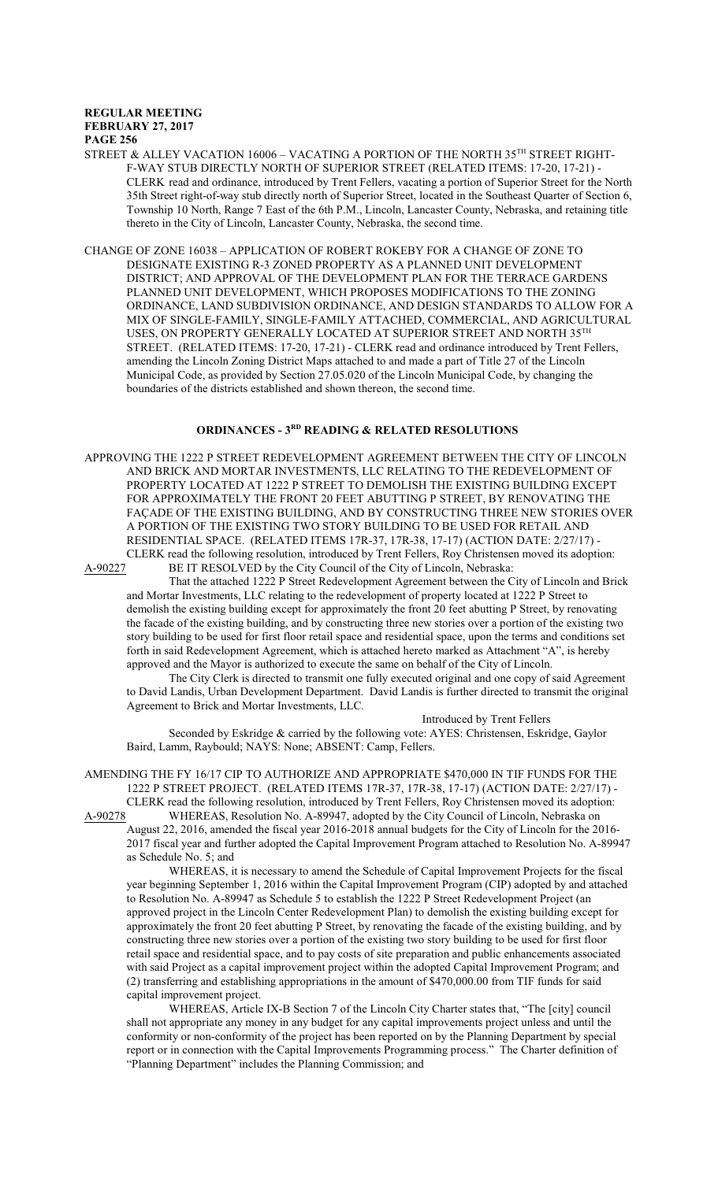STREET & ALLEY VACATION 16006 – VACATING A PORTION OF THE NORTH 35 $^{\text{\tiny{\textsf{TH}}}}$  STREET RIGHT-F-WAY STUB DIRECTLY NORTH OF SUPERIOR STREET (RELATED ITEMS: 17-20, 17-21) - CLERK read and ordinance, introduced by Trent Fellers, vacating a portion of Superior Street for the North 35th Street right-of-way stub directly north of Superior Street, located in the Southeast Quarter of Section 6, Township 10 North, Range 7 East of the 6th P.M., Lincoln, Lancaster County, Nebraska, and retaining title thereto in the City of Lincoln, Lancaster County, Nebraska, the second time.

CHANGE OF ZONE 16038 – APPLICATION OF ROBERT ROKEBY FOR A CHANGE OF ZONE TO DESIGNATE EXISTING R-3 ZONED PROPERTY AS A PLANNED UNIT DEVELOPMENT DISTRICT; AND APPROVAL OF THE DEVELOPMENT PLAN FOR THE TERRACE GARDENS PLANNED UNIT DEVELOPMENT, WHICH PROPOSES MODIFICATIONS TO THE ZONING ORDINANCE, LAND SUBDIVISION ORDINANCE, AND DESIGN STANDARDS TO ALLOW FOR A MIX OF SINGLE-FAMILY, SINGLE-FAMILY ATTACHED, COMMERCIAL, AND AGRICULTURAL USES, ON PROPERTY GENERALLY LOCATED AT SUPERIOR STREET AND NORTH  $35^{\text{\tiny{TH}}}$ STREET. (RELATED ITEMS: 17-20, 17-21) - CLERK read and ordinance introduced by Trent Fellers, amending the Lincoln Zoning District Maps attached to and made a part of Title 27 of the Lincoln Municipal Code, as provided by Section 27.05.020 of the Lincoln Municipal Code, by changing the boundaries of the districts established and shown thereon, the second time.

## **ORDINANCES - 3RD READING & RELATED RESOLUTIONS**

APPROVING THE 1222 P STREET REDEVELOPMENT AGREEMENT BETWEEN THE CITY OF LINCOLN AND BRICK AND MORTAR INVESTMENTS, LLC RELATING TO THE REDEVELOPMENT OF PROPERTY LOCATED AT 1222 P STREET TO DEMOLISH THE EXISTING BUILDING EXCEPT FOR APPROXIMATELY THE FRONT 20 FEET ABUTTING P STREET, BY RENOVATING THE FAÇADE OF THE EXISTING BUILDING, AND BY CONSTRUCTING THREE NEW STORIES OVER A PORTION OF THE EXISTING TWO STORY BUILDING TO BE USED FOR RETAIL AND RESIDENTIAL SPACE. (RELATED ITEMS 17R-37, 17R-38, 17-17) (ACTION DATE: 2/27/17) -

CLERK read the following resolution, introduced by Trent Fellers, Roy Christensen moved its adoption:<br>A-90227 BE IT RESOLVED by the City Council of the City of Lincoln, Nebraska: BE IT RESOLVED by the City Council of the City of Lincoln, Nebraska:

That the attached 1222 P Street Redevelopment Agreement between the City of Lincoln and Brick and Mortar Investments, LLC relating to the redevelopment of property located at 1222 P Street to demolish the existing building except for approximately the front 20 feet abutting P Street, by renovating the facade of the existing building, and by constructing three new stories over a portion of the existing two story building to be used for first floor retail space and residential space, upon the terms and conditions set forth in said Redevelopment Agreement, which is attached hereto marked as Attachment "A", is hereby approved and the Mayor is authorized to execute the same on behalf of the City of Lincoln.

The City Clerk is directed to transmit one fully executed original and one copy of said Agreement to David Landis, Urban Development Department. David Landis is further directed to transmit the original Agreement to Brick and Mortar Investments, LLC.

Introduced by Trent Fellers Seconded by Eskridge & carried by the following vote: AYES: Christensen, Eskridge, Gaylor Baird, Lamm, Raybould; NAYS: None; ABSENT: Camp, Fellers.

AMENDING THE FY 16/17 CIP TO AUTHORIZE AND APPROPRIATE \$470,000 IN TIF FUNDS FOR THE 1222 P STREET PROJECT. (RELATED ITEMS 17R-37, 17R-38, 17-17) (ACTION DATE: 2/27/17) - CLERK read the following resolution, introduced by Trent Fellers, Roy Christensen moved its adoption:<br>A-90278 WHEREAS, Resolution No. A-89947, adopted by the City Council of Lincoln, Nebraska on

WHEREAS, Resolution No. A-89947, adopted by the City Council of Lincoln, Nebraska on August 22, 2016, amended the fiscal year 2016-2018 annual budgets for the City of Lincoln for the 2016- 2017 fiscal year and further adopted the Capital Improvement Program attached to Resolution No. A-89947 as Schedule No. 5; and

WHEREAS, it is necessary to amend the Schedule of Capital Improvement Projects for the fiscal year beginning September 1, 2016 within the Capital Improvement Program (CIP) adopted by and attached to Resolution No. A-89947 as Schedule 5 to establish the 1222 P Street Redevelopment Project (an approved project in the Lincoln Center Redevelopment Plan) to demolish the existing building except for approximately the front 20 feet abutting P Street, by renovating the facade of the existing building, and by constructing three new stories over a portion of the existing two story building to be used for first floor retail space and residential space, and to pay costs of site preparation and public enhancements associated with said Project as a capital improvement project within the adopted Capital Improvement Program; and (2) transferring and establishing appropriations in the amount of \$470,000.00 from TIF funds for said capital improvement project.

WHEREAS, Article IX-B Section 7 of the Lincoln City Charter states that, "The [city] council shall not appropriate any money in any budget for any capital improvements project unless and until the conformity or non-conformity of the project has been reported on by the Planning Department by special report or in connection with the Capital Improvements Programming process." The Charter definition of "Planning Department" includes the Planning Commission; and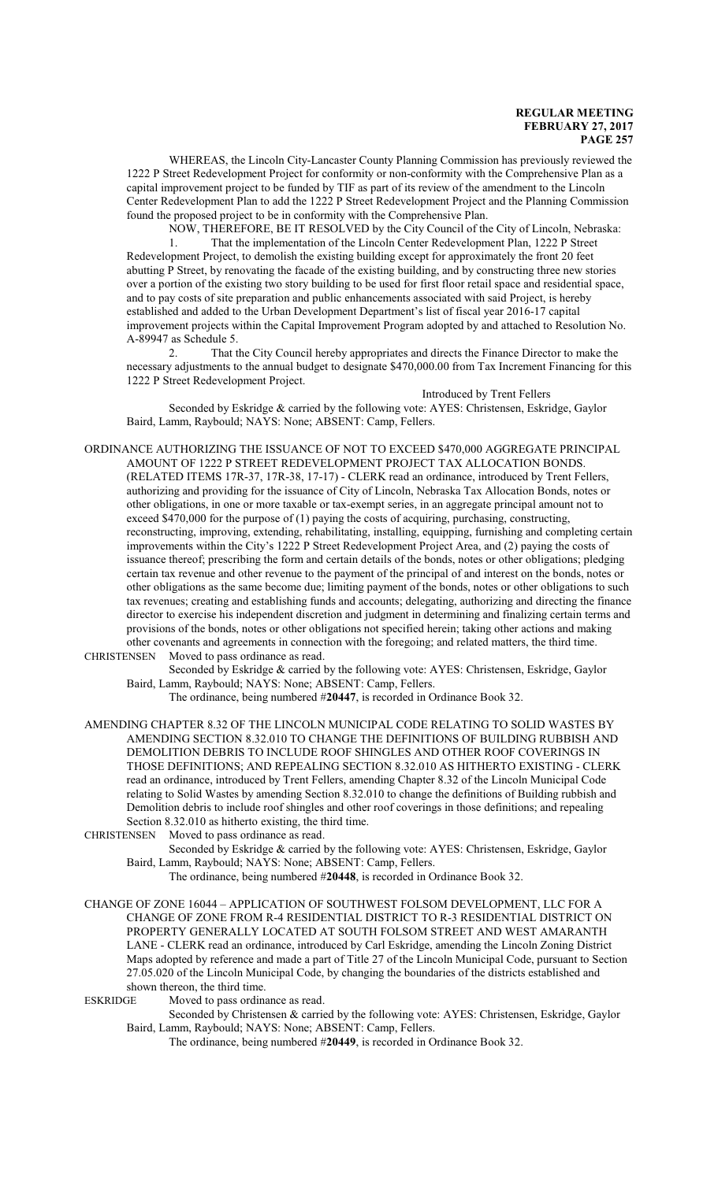WHEREAS, the Lincoln City-Lancaster County Planning Commission has previously reviewed the 1222 P Street Redevelopment Project for conformity or non-conformity with the Comprehensive Plan as a capital improvement project to be funded by TIF as part of its review of the amendment to the Lincoln Center Redevelopment Plan to add the 1222 P Street Redevelopment Project and the Planning Commission found the proposed project to be in conformity with the Comprehensive Plan.

NOW, THEREFORE, BE IT RESOLVED by the City Council of the City of Lincoln, Nebraska: 1. That the implementation of the Lincoln Center Redevelopment Plan, 1222 P Street Redevelopment Project, to demolish the existing building except for approximately the front 20 feet abutting P Street, by renovating the facade of the existing building, and by constructing three new stories over a portion of the existing two story building to be used for first floor retail space and residential space, and to pay costs of site preparation and public enhancements associated with said Project, is hereby established and added to the Urban Development Department's list of fiscal year 2016-17 capital improvement projects within the Capital Improvement Program adopted by and attached to Resolution No. A-89947 as Schedule 5.

2. That the City Council hereby appropriates and directs the Finance Director to make the necessary adjustments to the annual budget to designate \$470,000.00 from Tax Increment Financing for this 1222 P Street Redevelopment Project.

Introduced by Trent Fellers

Seconded by Eskridge & carried by the following vote: AYES: Christensen, Eskridge, Gaylor Baird, Lamm, Raybould; NAYS: None; ABSENT: Camp, Fellers.

ORDINANCE AUTHORIZING THE ISSUANCE OF NOT TO EXCEED \$470,000 AGGREGATE PRINCIPAL AMOUNT OF 1222 P STREET REDEVELOPMENT PROJECT TAX ALLOCATION BONDS. (RELATED ITEMS 17R-37, 17R-38, 17-17) - CLERK read an ordinance, introduced by Trent Fellers, authorizing and providing for the issuance of City of Lincoln, Nebraska Tax Allocation Bonds, notes or other obligations, in one or more taxable or tax-exempt series, in an aggregate principal amount not to exceed \$470,000 for the purpose of (1) paying the costs of acquiring, purchasing, constructing, reconstructing, improving, extending, rehabilitating, installing, equipping, furnishing and completing certain improvements within the City's 1222 P Street Redevelopment Project Area, and (2) paying the costs of issuance thereof; prescribing the form and certain details of the bonds, notes or other obligations; pledging certain tax revenue and other revenue to the payment of the principal of and interest on the bonds, notes or other obligations as the same become due; limiting payment of the bonds, notes or other obligations to such tax revenues; creating and establishing funds and accounts; delegating, authorizing and directing the finance director to exercise his independent discretion and judgment in determining and finalizing certain terms and provisions of the bonds, notes or other obligations not specified herein; taking other actions and making other covenants and agreements in connection with the foregoing; and related matters, the third time. CHRISTENSEN Moved to pass ordinance as read.

Seconded by Eskridge & carried by the following vote: AYES: Christensen, Eskridge, Gaylor Baird, Lamm, Raybould; NAYS: None; ABSENT: Camp, Fellers.

The ordinance, being numbered #**20447**, is recorded in Ordinance Book 32.

AMENDING CHAPTER 8.32 OF THE LINCOLN MUNICIPAL CODE RELATING TO SOLID WASTES BY AMENDING SECTION 8.32.010 TO CHANGE THE DEFINITIONS OF BUILDING RUBBISH AND DEMOLITION DEBRIS TO INCLUDE ROOF SHINGLES AND OTHER ROOF COVERINGS IN THOSE DEFINITIONS; AND REPEALING SECTION 8.32.010 AS HITHERTO EXISTING - CLERK read an ordinance, introduced by Trent Fellers, amending Chapter 8.32 of the Lincoln Municipal Code relating to Solid Wastes by amending Section 8.32.010 to change the definitions of Building rubbish and Demolition debris to include roof shingles and other roof coverings in those definitions; and repealing Section 8.32.010 as hitherto existing, the third time.

CHRISTENSEN Moved to pass ordinance as read.

Seconded by Eskridge & carried by the following vote: AYES: Christensen, Eskridge, Gaylor Baird, Lamm, Raybould; NAYS: None; ABSENT: Camp, Fellers.

The ordinance, being numbered #**20448**, is recorded in Ordinance Book 32.

CHANGE OF ZONE 16044 – APPLICATION OF SOUTHWEST FOLSOM DEVELOPMENT, LLC FOR A CHANGE OF ZONE FROM R-4 RESIDENTIAL DISTRICT TO R-3 RESIDENTIAL DISTRICT ON PROPERTY GENERALLY LOCATED AT SOUTH FOLSOM STREET AND WEST AMARANTH LANE - CLERK read an ordinance, introduced by Carl Eskridge, amending the Lincoln Zoning District Maps adopted by reference and made a part of Title 27 of the Lincoln Municipal Code, pursuant to Section 27.05.020 of the Lincoln Municipal Code, by changing the boundaries of the districts established and shown thereon, the third time.

ESKRIDGE Moved to pass ordinance as read.

Seconded by Christensen & carried by the following vote: AYES: Christensen, Eskridge, Gaylor Baird, Lamm, Raybould; NAYS: None; ABSENT: Camp, Fellers.

The ordinance, being numbered #**20449**, is recorded in Ordinance Book 32.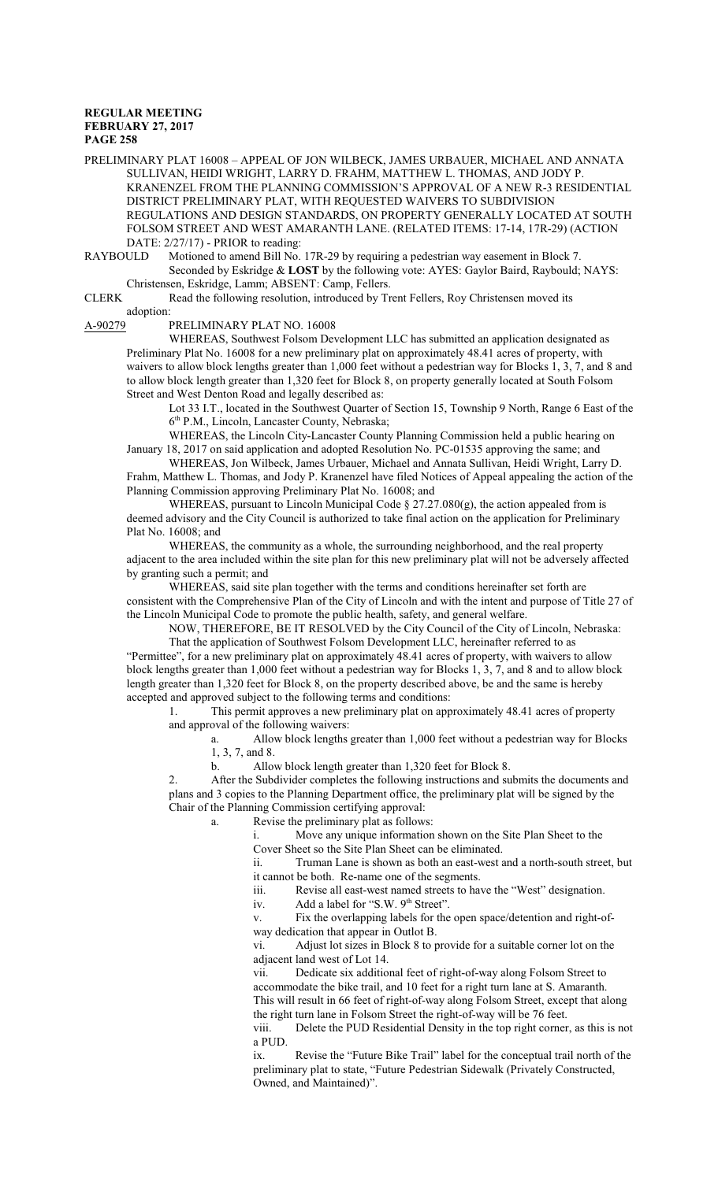PRELIMINARY PLAT 16008 – APPEAL OF JON WILBECK, JAMES URBAUER, MICHAEL AND ANNATA SULLIVAN, HEIDI WRIGHT, LARRY D. FRAHM, MATTHEW L. THOMAS, AND JODY P. KRANENZEL FROM THE PLANNING COMMISSION'S APPROVAL OF A NEW R-3 RESIDENTIAL DISTRICT PRELIMINARY PLAT, WITH REQUESTED WAIVERS TO SUBDIVISION REGULATIONS AND DESIGN STANDARDS, ON PROPERTY GENERALLY LOCATED AT SOUTH FOLSOM STREET AND WEST AMARANTH LANE. (RELATED ITEMS: 17-14, 17R-29) (ACTION DATE: 2/27/17) - PRIOR to reading:

RAYBOULD Motioned to amend Bill No. 17R-29 by requiring a pedestrian way easement in Block 7. Seconded by Eskridge & **LOST** by the following vote: AYES: Gaylor Baird, Raybould; NAYS: Christensen, Eskridge, Lamm; ABSENT: Camp, Fellers.

CLERK Read the following resolution, introduced by Trent Fellers, Roy Christensen moved its adoption:

A-90279 PRELIMINARY PLAT NO. 16008

WHEREAS, Southwest Folsom Development LLC has submitted an application designated as Preliminary Plat No. 16008 for a new preliminary plat on approximately 48.41 acres of property, with waivers to allow block lengths greater than 1,000 feet without a pedestrian way for Blocks 1, 3, 7, and 8 and to allow block length greater than 1,320 feet for Block 8, on property generally located at South Folsom Street and West Denton Road and legally described as:

Lot 33 I.T., located in the Southwest Quarter of Section 15, Township 9 North, Range 6 East of the 6 th P.M., Lincoln, Lancaster County, Nebraska;

WHEREAS, the Lincoln City-Lancaster County Planning Commission held a public hearing on January 18, 2017 on said application and adopted Resolution No. PC-01535 approving the same; and

WHEREAS, Jon Wilbeck, James Urbauer, Michael and Annata Sullivan, Heidi Wright, Larry D. Frahm, Matthew L. Thomas, and Jody P. Kranenzel have filed Notices of Appeal appealing the action of the Planning Commission approving Preliminary Plat No. 16008; and

WHEREAS, pursuant to Lincoln Municipal Code  $\S 27.27.080(g)$ , the action appealed from is deemed advisory and the City Council is authorized to take final action on the application for Preliminary Plat No. 16008; and

WHEREAS, the community as a whole, the surrounding neighborhood, and the real property adjacent to the area included within the site plan for this new preliminary plat will not be adversely affected by granting such a permit; and

WHEREAS, said site plan together with the terms and conditions hereinafter set forth are consistent with the Comprehensive Plan of the City of Lincoln and with the intent and purpose of Title 27 of the Lincoln Municipal Code to promote the public health, safety, and general welfare.

NOW, THEREFORE, BE IT RESOLVED by the City Council of the City of Lincoln, Nebraska: That the application of Southwest Folsom Development LLC, hereinafter referred to as "Permittee", for a new preliminary plat on approximately 48.41 acres of property, with waivers to allow block lengths greater than 1,000 feet without a pedestrian way for Blocks 1, 3, 7, and 8 and to allow block length greater than 1,320 feet for Block 8, on the property described above, be and the same is hereby accepted and approved subject to the following terms and conditions:

1. This permit approves a new preliminary plat on approximately 48.41 acres of property and approval of the following waivers:

a. Allow block lengths greater than 1,000 feet without a pedestrian way for Blocks 1, 3, 7, and 8.

b. Allow block length greater than 1,320 feet for Block 8.

2. After the Subdivider completes the following instructions and submits the documents and plans and 3 copies to the Planning Department office, the preliminary plat will be signed by the Chair of the Planning Commission certifying approval:

a. Revise the preliminary plat as follows:

i. Move any unique information shown on the Site Plan Sheet to the Cover Sheet so the Site Plan Sheet can be eliminated.

ii. Truman Lane is shown as both an east-west and a north-south street, but

it cannot be both. Re-name one of the segments.<br>iii. Revise all east-west named streets to have

Revise all east-west named streets to have the "West" designation.

iv. Add a label for "S.W.  $9<sup>th</sup>$  Street".

v. Fix the overlapping labels for the open space/detention and right-ofway dedication that appear in Outlot B.

vi. Adjust lot sizes in Block 8 to provide for a suitable corner lot on the adjacent land west of Lot 14.

vii. Dedicate six additional feet of right-of-way along Folsom Street to accommodate the bike trail, and 10 feet for a right turn lane at S. Amaranth. This will result in 66 feet of right-of-way along Folsom Street, except that along the right turn lane in Folsom Street the right-of-way will be 76 feet.

viii. Delete the PUD Residential Density in the top right corner, as this is not a PUD.

ix. Revise the "Future Bike Trail" label for the conceptual trail north of the preliminary plat to state, "Future Pedestrian Sidewalk (Privately Constructed, Owned, and Maintained)".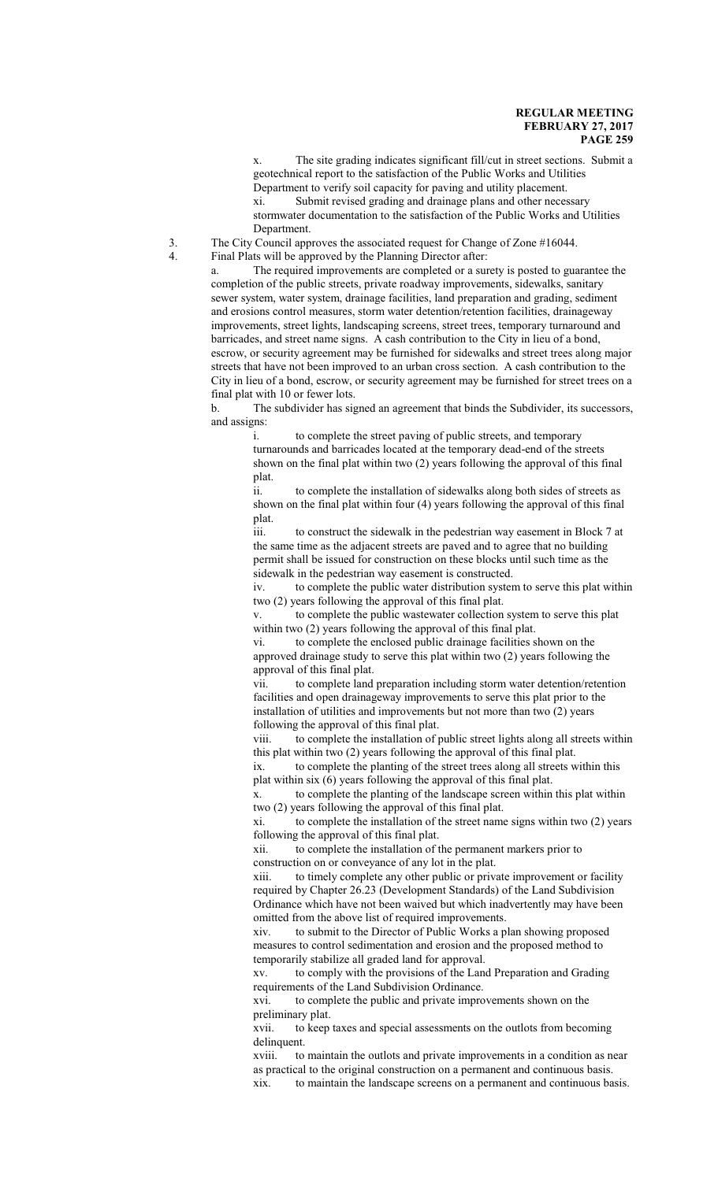x. The site grading indicates significant fill/cut in street sections. Submit a geotechnical report to the satisfaction of the Public Works and Utilities Department to verify soil capacity for paving and utility placement. xi. Submit revised grading and drainage plans and other necessary stormwater documentation to the satisfaction of the Public Works and Utilities

Department.

3. The City Council approves the associated request for Change of Zone #16044. 4. Final Plats will be approved by the Planning Director after:

> a. The required improvements are completed or a surety is posted to guarantee the completion of the public streets, private roadway improvements, sidewalks, sanitary sewer system, water system, drainage facilities, land preparation and grading, sediment and erosions control measures, storm water detention/retention facilities, drainageway improvements, street lights, landscaping screens, street trees, temporary turnaround and barricades, and street name signs. A cash contribution to the City in lieu of a bond, escrow, or security agreement may be furnished for sidewalks and street trees along major streets that have not been improved to an urban cross section. A cash contribution to the City in lieu of a bond, escrow, or security agreement may be furnished for street trees on a final plat with 10 or fewer lots.

> b. The subdivider has signed an agreement that binds the Subdivider, its successors, and assigns:

i. to complete the street paving of public streets, and temporary turnarounds and barricades located at the temporary dead-end of the streets shown on the final plat within two (2) years following the approval of this final plat.

ii. to complete the installation of sidewalks along both sides of streets as shown on the final plat within four (4) years following the approval of this final plat.

iii. to construct the sidewalk in the pedestrian way easement in Block 7 at the same time as the adjacent streets are paved and to agree that no building permit shall be issued for construction on these blocks until such time as the sidewalk in the pedestrian way easement is constructed.

iv. to complete the public water distribution system to serve this plat within two (2) years following the approval of this final plat.

v. to complete the public wastewater collection system to serve this plat within two (2) years following the approval of this final plat.

vi. to complete the enclosed public drainage facilities shown on the approved drainage study to serve this plat within two (2) years following the approval of this final plat.

vii. to complete land preparation including storm water detention/retention facilities and open drainageway improvements to serve this plat prior to the installation of utilities and improvements but not more than two (2) years following the approval of this final plat.

viii. to complete the installation of public street lights along all streets within this plat within two (2) years following the approval of this final plat.

ix. to complete the planting of the street trees along all streets within this plat within six (6) years following the approval of this final plat.

x. to complete the planting of the landscape screen within this plat within two (2) years following the approval of this final plat.

xi. to complete the installation of the street name signs within two (2) years following the approval of this final plat.

xii. to complete the installation of the permanent markers prior to construction on or conveyance of any lot in the plat.

xiii. to timely complete any other public or private improvement or facility required by Chapter 26.23 (Development Standards) of the Land Subdivision Ordinance which have not been waived but which inadvertently may have been omitted from the above list of required improvements.

xiv. to submit to the Director of Public Works a plan showing proposed measures to control sedimentation and erosion and the proposed method to temporarily stabilize all graded land for approval.

xv. to comply with the provisions of the Land Preparation and Grading requirements of the Land Subdivision Ordinance.

xvi. to complete the public and private improvements shown on the preliminary plat.

xvii. to keep taxes and special assessments on the outlots from becoming delinquent.

xviii. to maintain the outlots and private improvements in a condition as near as practical to the original construction on a permanent and continuous basis. xix. to maintain the landscape screens on a permanent and continuous basis.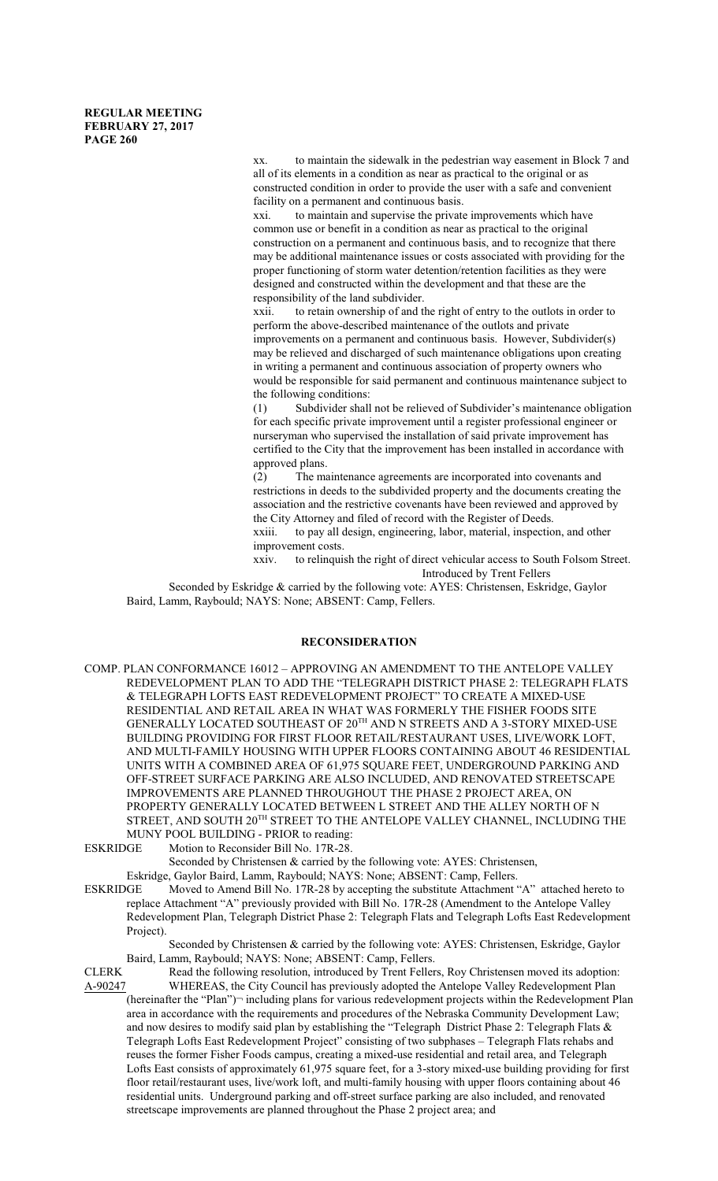xx. to maintain the sidewalk in the pedestrian way easement in Block 7 and all of its elements in a condition as near as practical to the original or as constructed condition in order to provide the user with a safe and convenient facility on a permanent and continuous basis.

xxi. to maintain and supervise the private improvements which have common use or benefit in a condition as near as practical to the original construction on a permanent and continuous basis, and to recognize that there may be additional maintenance issues or costs associated with providing for the proper functioning of storm water detention/retention facilities as they were designed and constructed within the development and that these are the responsibility of the land subdivider.<br>xxii. to retain ownership of and the

to retain ownership of and the right of entry to the outlots in order to perform the above-described maintenance of the outlots and private improvements on a permanent and continuous basis. However, Subdivider(s) may be relieved and discharged of such maintenance obligations upon creating in writing a permanent and continuous association of property owners who would be responsible for said permanent and continuous maintenance subject to the following conditions:

(1) Subdivider shall not be relieved of Subdivider's maintenance obligation for each specific private improvement until a register professional engineer or nurseryman who supervised the installation of said private improvement has certified to the City that the improvement has been installed in accordance with approved plans.

(2) The maintenance agreements are incorporated into covenants and restrictions in deeds to the subdivided property and the documents creating the association and the restrictive covenants have been reviewed and approved by the City Attorney and filed of record with the Register of Deeds.<br>xxiii. to pay all design, engineering, labor, material, inspection

to pay all design, engineering, labor, material, inspection, and other improvement costs.

xxiv. to relinquish the right of direct vehicular access to South Folsom Street. Introduced by Trent Fellers

Seconded by Eskridge & carried by the following vote: AYES: Christensen, Eskridge, Gaylor Baird, Lamm, Raybould; NAYS: None; ABSENT: Camp, Fellers.

## **RECONSIDERATION**

COMP. PLAN CONFORMANCE 16012 – APPROVING AN AMENDMENT TO THE ANTELOPE VALLEY REDEVELOPMENT PLAN TO ADD THE "TELEGRAPH DISTRICT PHASE 2: TELEGRAPH FLATS & TELEGRAPH LOFTS EAST REDEVELOPMENT PROJECT" TO CREATE A MIXED-USE RESIDENTIAL AND RETAIL AREA IN WHAT WAS FORMERLY THE FISHER FOODS SITE GENERALLY LOCATED SOUTHEAST OF 20 TH AND N STREETS AND A 3-STORY MIXED-USE BUILDING PROVIDING FOR FIRST FLOOR RETAIL/RESTAURANT USES, LIVE/WORK LOFT, AND MULTI-FAMILY HOUSING WITH UPPER FLOORS CONTAINING ABOUT 46 RESIDENTIAL UNITS WITH A COMBINED AREA OF 61,975 SQUARE FEET, UNDERGROUND PARKING AND OFF-STREET SURFACE PARKING ARE ALSO INCLUDED, AND RENOVATED STREETSCAPE IMPROVEMENTS ARE PLANNED THROUGHOUT THE PHASE 2 PROJECT AREA, ON PROPERTY GENERALLY LOCATED BETWEEN L STREET AND THE ALLEY NORTH OF N STREET, AND SOUTH  $20^{\rm TH}$  STREET TO THE ANTELOPE VALLEY CHANNEL, INCLUDING THE

MUNY POOL BUILDING - PRIOR to reading:<br>
FSKRIDGE Motion to Reconsider Bill No. 17R-28 Motion to Reconsider Bill No. 17R-28.

Seconded by Christensen & carried by the following vote: AYES: Christensen,

Eskridge, Gaylor Baird, Lamm, Raybould; NAYS: None; ABSENT: Camp, Fellers.<br>ESKRIDGE Moved to Amend Bill No. 17R-28 by accepting the substitute Attachment ' Moved to Amend Bill No. 17R-28 by accepting the substitute Attachment "A" attached hereto to replace Attachment "A" previously provided with Bill No. 17R-28 (Amendment to the Antelope Valley Redevelopment Plan, Telegraph District Phase 2: Telegraph Flats and Telegraph Lofts East Redevelopment Project).

Seconded by Christensen & carried by the following vote: AYES: Christensen, Eskridge, Gaylor Baird, Lamm, Raybould; NAYS: None; ABSENT: Camp, Fellers.

CLERK Read the following resolution, introduced by Trent Fellers, Roy Christensen moved its adoption:<br>A-90247 WHEREAS, the City Council has previously adopted the Antelope Valley Redevelopment Plan WHEREAS, the City Council has previously adopted the Antelope Valley Redevelopment Plan (hereinafter the "Plan") ¬ including plans for various redevelopment projects within the Redevelopment Plan area in accordance with the requirements and procedures of the Nebraska Community Development Law; and now desires to modify said plan by establishing the "Telegraph District Phase 2: Telegraph Flats & Telegraph Lofts East Redevelopment Project" consisting of two subphases – Telegraph Flats rehabs and reuses the former Fisher Foods campus, creating a mixed-use residential and retail area, and Telegraph Lofts East consists of approximately 61,975 square feet, for a 3-story mixed-use building providing for first floor retail/restaurant uses, live/work loft, and multi-family housing with upper floors containing about 46 residential units. Underground parking and off-street surface parking are also included, and renovated streetscape improvements are planned throughout the Phase 2 project area; and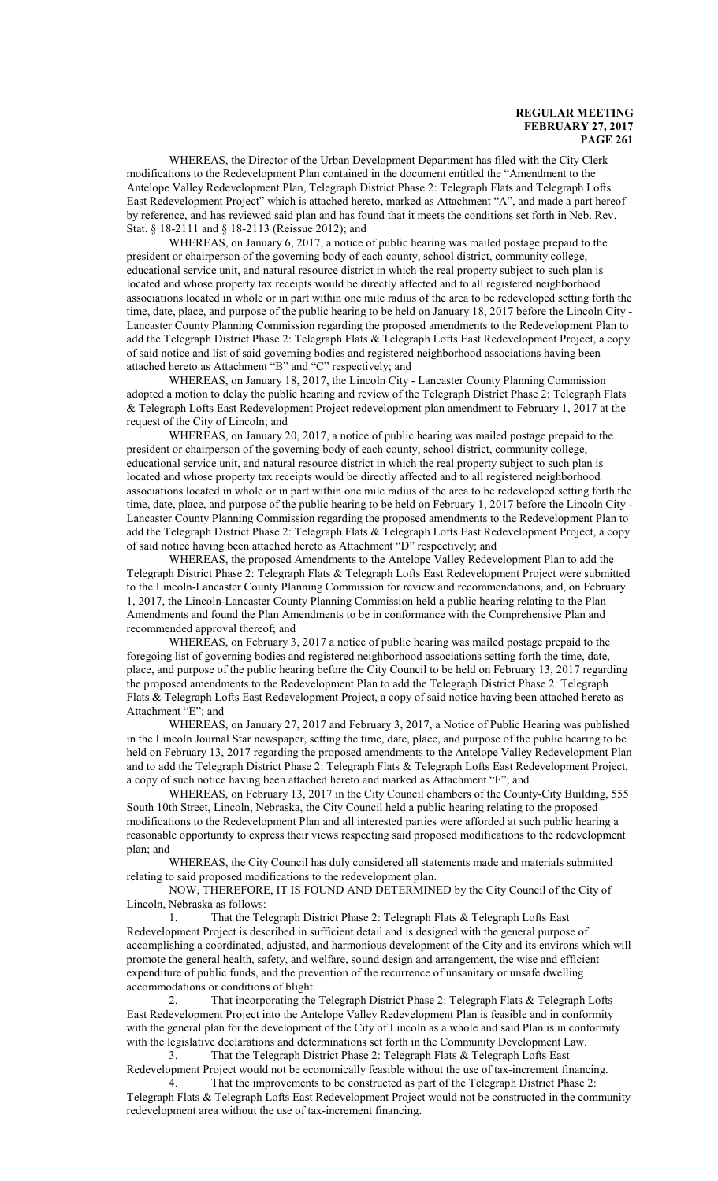WHEREAS, the Director of the Urban Development Department has filed with the City Clerk modifications to the Redevelopment Plan contained in the document entitled the "Amendment to the Antelope Valley Redevelopment Plan, Telegraph District Phase 2: Telegraph Flats and Telegraph Lofts East Redevelopment Project" which is attached hereto, marked as Attachment "A", and made a part hereof by reference, and has reviewed said plan and has found that it meets the conditions set forth in Neb. Rev. Stat. § 18-2111 and § 18-2113 (Reissue 2012); and

WHEREAS, on January 6, 2017, a notice of public hearing was mailed postage prepaid to the president or chairperson of the governing body of each county, school district, community college, educational service unit, and natural resource district in which the real property subject to such plan is located and whose property tax receipts would be directly affected and to all registered neighborhood associations located in whole or in part within one mile radius of the area to be redeveloped setting forth the time, date, place, and purpose of the public hearing to be held on January 18, 2017 before the Lincoln City - Lancaster County Planning Commission regarding the proposed amendments to the Redevelopment Plan to add the Telegraph District Phase 2: Telegraph Flats & Telegraph Lofts East Redevelopment Project, a copy of said notice and list of said governing bodies and registered neighborhood associations having been attached hereto as Attachment "B" and "C" respectively; and

WHEREAS, on January 18, 2017, the Lincoln City - Lancaster County Planning Commission adopted a motion to delay the public hearing and review of the Telegraph District Phase 2: Telegraph Flats & Telegraph Lofts East Redevelopment Project redevelopment plan amendment to February 1, 2017 at the request of the City of Lincoln; and

WHEREAS, on January 20, 2017, a notice of public hearing was mailed postage prepaid to the president or chairperson of the governing body of each county, school district, community college, educational service unit, and natural resource district in which the real property subject to such plan is located and whose property tax receipts would be directly affected and to all registered neighborhood associations located in whole or in part within one mile radius of the area to be redeveloped setting forth the time, date, place, and purpose of the public hearing to be held on February 1, 2017 before the Lincoln City - Lancaster County Planning Commission regarding the proposed amendments to the Redevelopment Plan to add the Telegraph District Phase 2: Telegraph Flats & Telegraph Lofts East Redevelopment Project, a copy of said notice having been attached hereto as Attachment "D" respectively; and

WHEREAS, the proposed Amendments to the Antelope Valley Redevelopment Plan to add the Telegraph District Phase 2: Telegraph Flats & Telegraph Lofts East Redevelopment Project were submitted to the Lincoln-Lancaster County Planning Commission for review and recommendations, and, on February 1, 2017, the Lincoln-Lancaster County Planning Commission held a public hearing relating to the Plan Amendments and found the Plan Amendments to be in conformance with the Comprehensive Plan and recommended approval thereof; and

WHEREAS, on February 3, 2017 a notice of public hearing was mailed postage prepaid to the foregoing list of governing bodies and registered neighborhood associations setting forth the time, date, place, and purpose of the public hearing before the City Council to be held on February 13, 2017 regarding the proposed amendments to the Redevelopment Plan to add the Telegraph District Phase 2: Telegraph Flats & Telegraph Lofts East Redevelopment Project, a copy of said notice having been attached hereto as Attachment "E"; and

WHEREAS, on January 27, 2017 and February 3, 2017, a Notice of Public Hearing was published in the Lincoln Journal Star newspaper, setting the time, date, place, and purpose of the public hearing to be held on February 13, 2017 regarding the proposed amendments to the Antelope Valley Redevelopment Plan and to add the Telegraph District Phase 2: Telegraph Flats & Telegraph Lofts East Redevelopment Project, a copy of such notice having been attached hereto and marked as Attachment "F"; and

WHEREAS, on February 13, 2017 in the City Council chambers of the County-City Building, 555 South 10th Street, Lincoln, Nebraska, the City Council held a public hearing relating to the proposed modifications to the Redevelopment Plan and all interested parties were afforded at such public hearing a reasonable opportunity to express their views respecting said proposed modifications to the redevelopment plan; and

WHEREAS, the City Council has duly considered all statements made and materials submitted relating to said proposed modifications to the redevelopment plan.

NOW, THEREFORE, IT IS FOUND AND DETERMINED by the City Council of the City of Lincoln, Nebraska as follows:

1. That the Telegraph District Phase 2: Telegraph Flats & Telegraph Lofts East Redevelopment Project is described in sufficient detail and is designed with the general purpose of accomplishing a coordinated, adjusted, and harmonious development of the City and its environs which will promote the general health, safety, and welfare, sound design and arrangement, the wise and efficient expenditure of public funds, and the prevention of the recurrence of unsanitary or unsafe dwelling accommodations or conditions of blight.

2. That incorporating the Telegraph District Phase 2: Telegraph Flats & Telegraph Lofts East Redevelopment Project into the Antelope Valley Redevelopment Plan is feasible and in conformity with the general plan for the development of the City of Lincoln as a whole and said Plan is in conformity with the legislative declarations and determinations set forth in the Community Development Law.

3. That the Telegraph District Phase 2: Telegraph Flats & Telegraph Lofts East Redevelopment Project would not be economically feasible without the use of tax-increment financing.

4. That the improvements to be constructed as part of the Telegraph District Phase 2: Telegraph Flats & Telegraph Lofts East Redevelopment Project would not be constructed in the community redevelopment area without the use of tax-increment financing.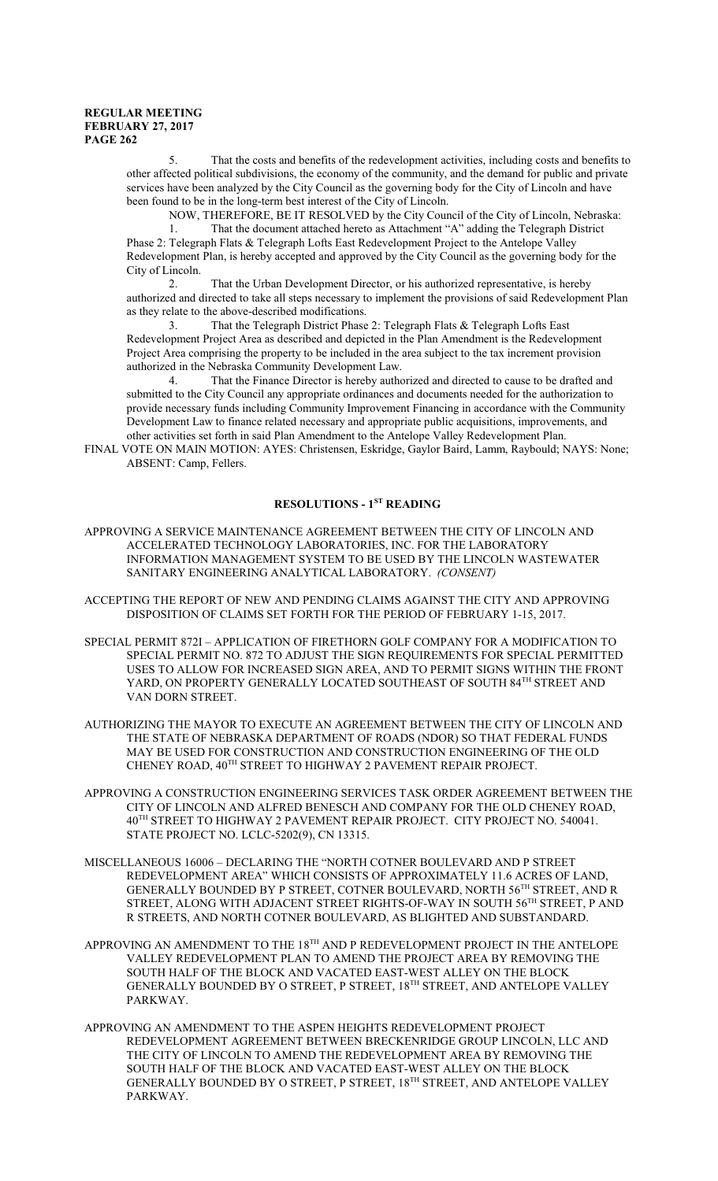5. That the costs and benefits of the redevelopment activities, including costs and benefits to other affected political subdivisions, the economy of the community, and the demand for public and private services have been analyzed by the City Council as the governing body for the City of Lincoln and have been found to be in the long-term best interest of the City of Lincoln.

NOW, THEREFORE, BE IT RESOLVED by the City Council of the City of Lincoln, Nebraska: 1. That the document attached hereto as Attachment "A" adding the Telegraph District Phase 2: Telegraph Flats & Telegraph Lofts East Redevelopment Project to the Antelope Valley Redevelopment Plan, is hereby accepted and approved by the City Council as the governing body for the City of Lincoln.

2. That the Urban Development Director, or his authorized representative, is hereby authorized and directed to take all steps necessary to implement the provisions of said Redevelopment Plan as they relate to the above-described modifications.

3. That the Telegraph District Phase 2: Telegraph Flats & Telegraph Lofts East Redevelopment Project Area as described and depicted in the Plan Amendment is the Redevelopment Project Area comprising the property to be included in the area subject to the tax increment provision authorized in the Nebraska Community Development Law.

4. That the Finance Director is hereby authorized and directed to cause to be drafted and submitted to the City Council any appropriate ordinances and documents needed for the authorization to provide necessary funds including Community Improvement Financing in accordance with the Community Development Law to finance related necessary and appropriate public acquisitions, improvements, and other activities set forth in said Plan Amendment to the Antelope Valley Redevelopment Plan.

FINAL VOTE ON MAIN MOTION: AYES: Christensen, Eskridge, Gaylor Baird, Lamm, Raybould; NAYS: None; ABSENT: Camp, Fellers.

### **RESOLUTIONS - 1ST READING**

- APPROVING A SERVICE MAINTENANCE AGREEMENT BETWEEN THE CITY OF LINCOLN AND ACCELERATED TECHNOLOGY LABORATORIES, INC. FOR THE LABORATORY INFORMATION MANAGEMENT SYSTEM TO BE USED BY THE LINCOLN WASTEWATER SANITARY ENGINEERING ANALYTICAL LABORATORY. *(CONSENT)*
- ACCEPTING THE REPORT OF NEW AND PENDING CLAIMS AGAINST THE CITY AND APPROVING DISPOSITION OF CLAIMS SET FORTH FOR THE PERIOD OF FEBRUARY 1-15, 2017.
- SPECIAL PERMIT 872I APPLICATION OF FIRETHORN GOLF COMPANY FOR A MODIFICATION TO SPECIAL PERMIT NO. 872 TO ADJUST THE SIGN REQUIREMENTS FOR SPECIAL PERMITTED USES TO ALLOW FOR INCREASED SIGN AREA, AND TO PERMIT SIGNS WITHIN THE FRONT YARD, ON PROPERTY GENERALLY LOCATED SOUTHEAST OF SOUTH 84TH STREET AND VAN DORN STREET.
- AUTHORIZING THE MAYOR TO EXECUTE AN AGREEMENT BETWEEN THE CITY OF LINCOLN AND THE STATE OF NEBRASKA DEPARTMENT OF ROADS (NDOR) SO THAT FEDERAL FUNDS MAY BE USED FOR CONSTRUCTION AND CONSTRUCTION ENGINEERING OF THE OLD CHENEY ROAD, 40TH STREET TO HIGHWAY 2 PAVEMENT REPAIR PROJECT.
- APPROVING A CONSTRUCTION ENGINEERING SERVICES TASK ORDER AGREEMENT BETWEEN THE CITY OF LINCOLN AND ALFRED BENESCH AND COMPANY FOR THE OLD CHENEY ROAD, 40 TH STREET TO HIGHWAY 2 PAVEMENT REPAIR PROJECT. CITY PROJECT NO. 540041. STATE PROJECT NO. LCLC-5202(9), CN 13315.
- MISCELLANEOUS 16006 DECLARING THE "NORTH COTNER BOULEVARD AND P STREET REDEVELOPMENT AREA" WHICH CONSISTS OF APPROXIMATELY 11.6 ACRES OF LAND, GENERALLY BOUNDED BY P STREET, COTNER BOULEVARD, NORTH 56TH STREET, AND R STREET, ALONG WITH ADJACENT STREET RIGHTS-OF-WAY IN SOUTH 56TH STREET, P AND R STREETS, AND NORTH COTNER BOULEVARD, AS BLIGHTED AND SUBSTANDARD.
- APPROVING AN AMENDMENT TO THE 18 $^{\text{\tiny{\textsf{TH}}}}$  AND P REDEVELOPMENT PROJECT IN THE ANTELOPE VALLEY REDEVELOPMENT PLAN TO AMEND THE PROJECT AREA BY REMOVING THE SOUTH HALF OF THE BLOCK AND VACATED EAST-WEST ALLEY ON THE BLOCK GENERALLY BOUNDED BY O STREET, P STREET, 18 TH STREET, AND ANTELOPE VALLEY PARKWAY.
- APPROVING AN AMENDMENT TO THE ASPEN HEIGHTS REDEVELOPMENT PROJECT REDEVELOPMENT AGREEMENT BETWEEN BRECKENRIDGE GROUP LINCOLN, LLC AND THE CITY OF LINCOLN TO AMEND THE REDEVELOPMENT AREA BY REMOVING THE SOUTH HALF OF THE BLOCK AND VACATED EAST-WEST ALLEY ON THE BLOCK GENERALLY BOUNDED BY O STREET, P STREET, 18 TH STREET, AND ANTELOPE VALLEY PARKWAY.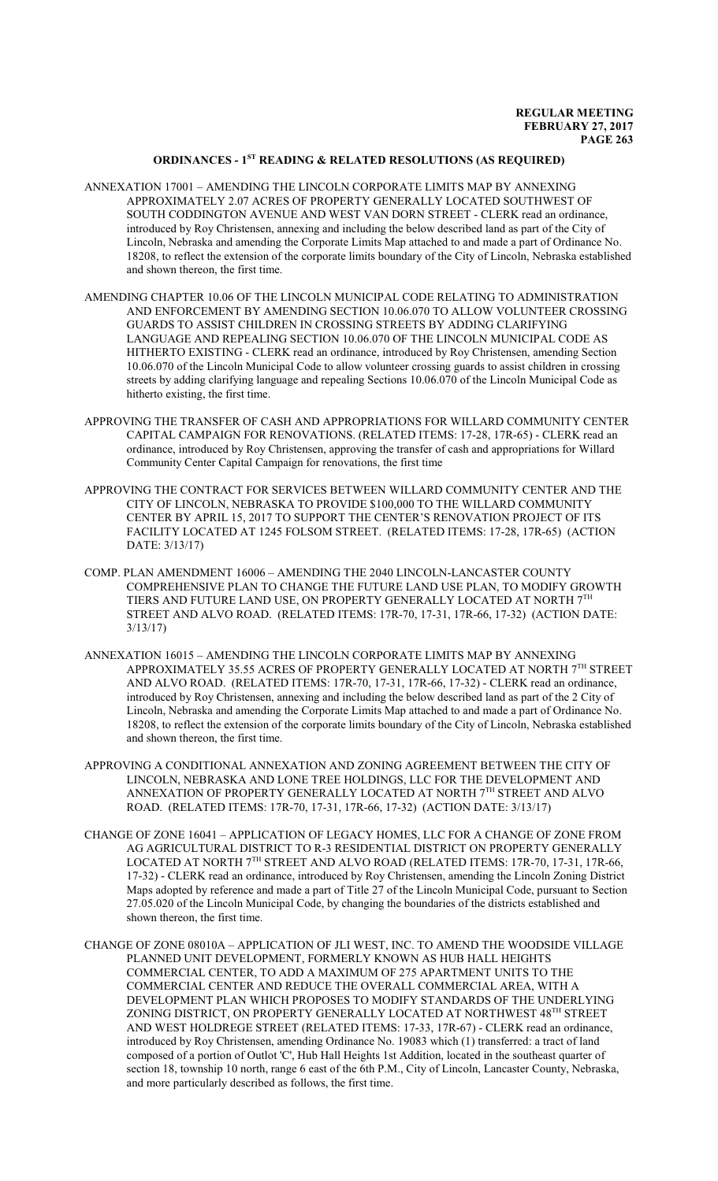# **ORDINANCES - 1ST READING & RELATED RESOLUTIONS (AS REQUIRED)**

- ANNEXATION 17001 AMENDING THE LINCOLN CORPORATE LIMITS MAP BY ANNEXING APPROXIMATELY 2.07 ACRES OF PROPERTY GENERALLY LOCATED SOUTHWEST OF SOUTH CODDINGTON AVENUE AND WEST VAN DORN STREET - CLERK read an ordinance, introduced by Roy Christensen, annexing and including the below described land as part of the City of Lincoln, Nebraska and amending the Corporate Limits Map attached to and made a part of Ordinance No. 18208, to reflect the extension of the corporate limits boundary of the City of Lincoln, Nebraska established and shown thereon, the first time.
- AMENDING CHAPTER 10.06 OF THE LINCOLN MUNICIPAL CODE RELATING TO ADMINISTRATION AND ENFORCEMENT BY AMENDING SECTION 10.06.070 TO ALLOW VOLUNTEER CROSSING GUARDS TO ASSIST CHILDREN IN CROSSING STREETS BY ADDING CLARIFYING LANGUAGE AND REPEALING SECTION 10.06.070 OF THE LINCOLN MUNICIPAL CODE AS HITHERTO EXISTING - CLERK read an ordinance, introduced by Roy Christensen, amending Section 10.06.070 of the Lincoln Municipal Code to allow volunteer crossing guards to assist children in crossing streets by adding clarifying language and repealing Sections 10.06.070 of the Lincoln Municipal Code as hitherto existing, the first time.
- APPROVING THE TRANSFER OF CASH AND APPROPRIATIONS FOR WILLARD COMMUNITY CENTER CAPITAL CAMPAIGN FOR RENOVATIONS. (RELATED ITEMS: 17-28, 17R-65) - CLERK read an ordinance, introduced by Roy Christensen, approving the transfer of cash and appropriations for Willard Community Center Capital Campaign for renovations, the first time
- APPROVING THE CONTRACT FOR SERVICES BETWEEN WILLARD COMMUNITY CENTER AND THE CITY OF LINCOLN, NEBRASKA TO PROVIDE \$100,000 TO THE WILLARD COMMUNITY CENTER BY APRIL 15, 2017 TO SUPPORT THE CENTER'S RENOVATION PROJECT OF ITS FACILITY LOCATED AT 1245 FOLSOM STREET. (RELATED ITEMS: 17-28, 17R-65) (ACTION DATE: 3/13/17)
- COMP. PLAN AMENDMENT 16006 AMENDING THE 2040 LINCOLN-LANCASTER COUNTY COMPREHENSIVE PLAN TO CHANGE THE FUTURE LAND USE PLAN, TO MODIFY GROWTH TIERS AND FUTURE LAND USE, ON PROPERTY GENERALLY LOCATED AT NORTH  $7^{\mathrm{TH}}$ STREET AND ALVO ROAD. (RELATED ITEMS: 17R-70, 17-31, 17R-66, 17-32) (ACTION DATE: 3/13/17)
- ANNEXATION 16015 AMENDING THE LINCOLN CORPORATE LIMITS MAP BY ANNEXING APPROXIMATELY 35.55 ACRES OF PROPERTY GENERALLY LOCATED AT NORTH 7<sup>th</sup> STREET AND ALVO ROAD. (RELATED ITEMS: 17R-70, 17-31, 17R-66, 17-32) - CLERK read an ordinance, introduced by Roy Christensen, annexing and including the below described land as part of the 2 City of Lincoln, Nebraska and amending the Corporate Limits Map attached to and made a part of Ordinance No. 18208, to reflect the extension of the corporate limits boundary of the City of Lincoln, Nebraska established and shown thereon, the first time.
- APPROVING A CONDITIONAL ANNEXATION AND ZONING AGREEMENT BETWEEN THE CITY OF LINCOLN, NEBRASKA AND LONE TREE HOLDINGS, LLC FOR THE DEVELOPMENT AND ANNEXATION OF PROPERTY GENERALLY LOCATED AT NORTH  $7^{\rm TH}$  STREET AND ALVO ROAD. (RELATED ITEMS: 17R-70, 17-31, 17R-66, 17-32) (ACTION DATE: 3/13/17)
- CHANGE OF ZONE 16041 APPLICATION OF LEGACY HOMES, LLC FOR A CHANGE OF ZONE FROM AG AGRICULTURAL DISTRICT TO R-3 RESIDENTIAL DISTRICT ON PROPERTY GENERALLY LOCATED AT NORTH 7TH STREET AND ALVO ROAD (RELATED ITEMS: 17R-70, 17-31, 17R-66, 17-32) - CLERK read an ordinance, introduced by Roy Christensen, amending the Lincoln Zoning District Maps adopted by reference and made a part of Title 27 of the Lincoln Municipal Code, pursuant to Section 27.05.020 of the Lincoln Municipal Code, by changing the boundaries of the districts established and shown thereon, the first time.
- CHANGE OF ZONE 08010A APPLICATION OF JLI WEST, INC. TO AMEND THE WOODSIDE VILLAGE PLANNED UNIT DEVELOPMENT, FORMERLY KNOWN AS HUB HALL HEIGHTS COMMERCIAL CENTER, TO ADD A MAXIMUM OF 275 APARTMENT UNITS TO THE COMMERCIAL CENTER AND REDUCE THE OVERALL COMMERCIAL AREA, WITH A DEVELOPMENT PLAN WHICH PROPOSES TO MODIFY STANDARDS OF THE UNDERLYING ZONING DISTRICT, ON PROPERTY GENERALLY LOCATED AT NORTHWEST 48<sup>th</sup> STREET AND WEST HOLDREGE STREET (RELATED ITEMS: 17-33, 17R-67) - CLERK read an ordinance, introduced by Roy Christensen, amending Ordinance No. 19083 which (1) transferred: a tract of land composed of a portion of Outlot 'C', Hub Hall Heights 1st Addition, located in the southeast quarter of section 18, township 10 north, range 6 east of the 6th P.M., City of Lincoln, Lancaster County, Nebraska, and more particularly described as follows, the first time.